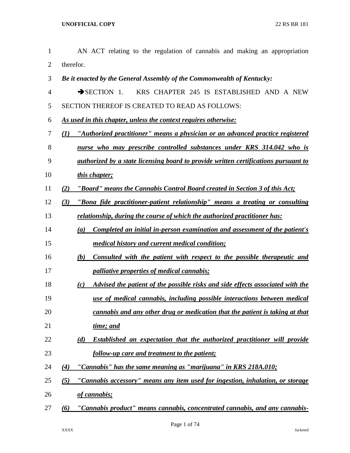| $\mathbf{1}$   | AN ACT relating to the regulation of cannabis and making an appropriation                  |
|----------------|--------------------------------------------------------------------------------------------|
| $\overline{2}$ | therefor.                                                                                  |
| 3              | Be it enacted by the General Assembly of the Commonwealth of Kentucky:                     |
| 4              | KRS CHAPTER 245 IS ESTABLISHED AND A NEW<br>$\rightarrow$ SECTION 1.                       |
| 5              | SECTION THEREOF IS CREATED TO READ AS FOLLOWS:                                             |
| 6              | As used in this chapter, unless the context requires otherwise:                            |
| 7              | "Authorized practitioner" means a physician or an advanced practice registered<br>(I)      |
| 8              | nurse who may prescribe controlled substances under KRS 314.042 who is                     |
| 9              | <i>authorized by a state licensing board to provide written certifications pursuant to</i> |
| 10             | this chapter;                                                                              |
| 11             | "Board" means the Cannabis Control Board created in Section 3 of this Act;<br>(2)          |
| 12             | "Bona fide practitioner-patient relationship" means a treating or consulting<br>(3)        |
| 13             | relationship, during the course of which the authorized practitioner has:                  |
| 14             | Completed an initial in-person examination and assessment of the patient's<br>(a)          |
| 15             | <i>medical history and current medical condition;</i>                                      |
| 16             | Consulted with the patient with respect to the possible therapeutic and<br>(b)             |
| 17             | <i>palliative properties of medical cannabis;</i>                                          |
| 18             | Advised the patient of the possible risks and side effects associated with the<br>(c)      |
| 19             | use of medical cannabis, including possible interactions between medical                   |
| 20             | cannabis and any other drug or medication that the patient is taking at that               |
| 21             | time; and                                                                                  |
| 22             | Established an expectation that the authorized practitioner will provide<br>(d)            |
| 23             | follow-up care and treatment to the patient;                                               |
| 24             | "Cannabis" has the same meaning as "marijuana" in KRS 218A.010;<br>(4)                     |
| 25             | "Cannabis accessory" means any item used for ingestion, inhalation, or storage<br>(5)      |
| 26             | of cannabis;                                                                               |
| 27             | "Cannabis product" means cannabis, concentrated cannabis, and any cannabis-<br>(6)         |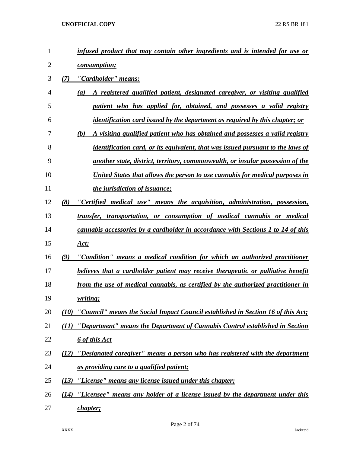| 1              | infused product that may contain other ingredients and is intended for use or          |
|----------------|----------------------------------------------------------------------------------------|
| $\overline{2}$ | <i>consumption;</i>                                                                    |
| 3              | "Cardholder" means:<br>(7)                                                             |
| $\overline{4}$ | A registered qualified patient, designated caregiver, or visiting qualified<br>(a)     |
| 5              | patient who has applied for, obtained, and possesses a valid registry                  |
| 6              | <i>identification card issued by the department as required by this chapter; or</i>    |
| 7              | A visiting qualified patient who has obtained and possesses a valid registry<br>(b)    |
| 8              | <i>identification card, or its equivalent, that was issued pursuant to the laws of</i> |
| 9              | another state, district, territory, commonwealth, or insular possession of the         |
| 10             | United States that allows the person to use cannabis for medical purposes in           |
| 11             | <i>the jurisdiction of issuance;</i>                                                   |
| 12             | (8)<br>"Certified medical use" means the acquisition, administration, possession,      |
| 13             | transfer, transportation, or consumption of medical cannabis or medical                |
| 14             | cannabis accessories by a cardholder in accordance with Sections 1 to 14 of this       |
| 15             | <u>Act;</u>                                                                            |
| 16             | "Condition" means a medical condition for which an authorized practitioner<br>(9)      |
| 17             | believes that a cardholder patient may receive therapeutic or palliative benefit       |
| 18             | from the use of medical cannabis, as certified by the authorized practitioner in       |
| 19             | <i>writing</i> ;                                                                       |
| 20             | (10) "Council" means the Social Impact Council established in Section 16 of this Act;  |
| 21             | "Department" means the Department of Cannabis Control established in Section<br>(11)   |
| 22             | <u><b>6 of this Act</b></u>                                                            |
| 23             | "Designated caregiver" means a person who has registered with the department<br>(12)   |
| 24             | <u>as providing care to a qualified patient;</u>                                       |
| 25             | (13)<br>"License" means any license issued under this chapter;                         |
| 26             | "Licensee" means any holder of a license issued by the department under this<br>(14)   |
| 27             | chapter;                                                                               |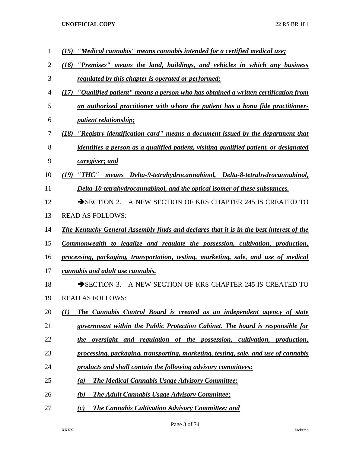*(15) "Medical cannabis" means cannabis intended for a certified medical use; (16) "Premises" means the land, buildings, and vehicles in which any business regulated by this chapter is operated or performed; (17) "Qualified patient" means a person who has obtained a written certification from an authorized practitioner with whom the patient has a bona fide practitioner- patient relationship; (18) "Registry identification card" means a document issued by the department that identifies a person as a qualified patient, visiting qualified patient, or designated caregiver; and (19) "THC" means Delta-9-tetrahydrocannabinol, Delta-8-tetrahydrocannabinol, Delta-10-tetrahydrocannabinol, and the optical isomer of these substances.* 12 SECTION 2. A NEW SECTION OF KRS CHAPTER 245 IS CREATED TO READ AS FOLLOWS: *The Kentucky General Assembly finds and declares that it is in the best interest of the Commonwealth to legalize and regulate the possession, cultivation, production, processing, packaging, transportation, testing, marketing, sale, and use of medical cannabis and adult use cannabis.*  18 SECTION 3. A NEW SECTION OF KRS CHAPTER 245 IS CREATED TO READ AS FOLLOWS: *(1) The Cannabis Control Board is created as an independent agency of state government within the Public Protection Cabinet. The board is responsible for the oversight and regulation of the possession, cultivation, production, processing, packaging, transporting, marketing, testing, sale, and use of cannabis products and shall contain the following advisory committees: (a) The Medical Cannabis Usage Advisory Committee; (b) The Adult Cannabis Usage Advisory Committee; (c) The Cannabis Cultivation Advisory Committee; and*

Page 3 of 74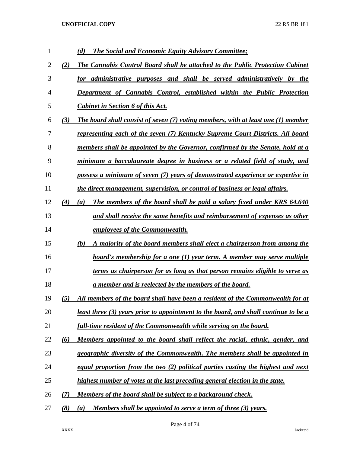| 1              |     | <b>The Social and Economic Equity Advisory Committee;</b><br>(d)                           |
|----------------|-----|--------------------------------------------------------------------------------------------|
| 2              | (2) | The Cannabis Control Board shall be attached to the Public Protection Cabinet              |
| 3              |     | for administrative purposes and shall be served administratively by the                    |
| $\overline{4}$ |     | Department of Cannabis Control, established within the Public Protection                   |
| 5              |     | <b>Cabinet in Section 6 of this Act.</b>                                                   |
| 6              | (3) | The board shall consist of seven (7) voting members, with at least one (1) member          |
| 7              |     | representing each of the seven (7) Kentucky Supreme Court Districts. All board             |
| 8              |     | members shall be appointed by the Governor, confirmed by the Senate, hold at a             |
| 9              |     | minimum a baccalaureate degree in business or a related field of study, and                |
| 10             |     | possess a minimum of seven (7) years of demonstrated experience or expertise in            |
| 11             |     | the direct management, supervision, or control of business or legal affairs.               |
| 12             | (4) | The members of the board shall be paid a salary fixed under KRS 64.640<br>(a)              |
| 13             |     | and shall receive the same benefits and reimbursement of expenses as other                 |
| 14             |     | <i>employees of the Commonwealth.</i>                                                      |
| 15             |     | A majority of the board members shall elect a chairperson from among the<br>(b)            |
| 16             |     | board's membership for a one (1) year term. A member may serve multiple                    |
| 17             |     | terms as chairperson for as long as that person remains eligible to serve as               |
| 18             |     | <u>a member and is reelected by the members of the board.</u>                              |
| 19             | (5) | All members of the board shall have been a resident of the Commonwealth for at             |
| 20             |     | <u>least three (3) years prior to appointment to the board, and shall continue to be a</u> |
| 21             |     | <u>full-time resident of the Commonwealth while serving on the board.</u>                  |
| 22             | (6) | Members appointed to the board shall reflect the racial, ethnic, gender, and               |
| 23             |     | geographic diversity of the Commonwealth. The members shall be appointed in                |
| 24             |     | equal proportion from the two $(2)$ political parties casting the highest and next         |
| 25             |     | highest number of votes at the last preceding general election in the state.               |
| 26             | (7) | <u>Members of the board shall be subject to a background check.</u>                        |
| 27             | (8) | <u>Members shall be appointed to serve a term of three (3) years.</u><br>(a)               |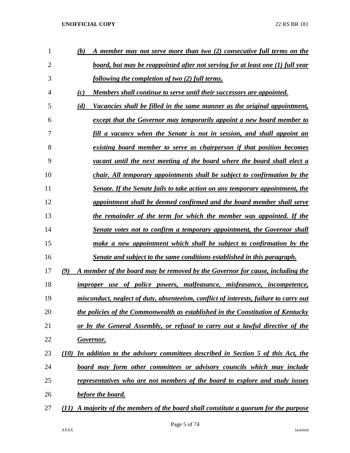| 1              | (b)<br>A member may not serve more than two (2) consecutive full terms on the            |
|----------------|------------------------------------------------------------------------------------------|
| $\overline{2}$ | board, but may be reappointed after not serving for at least one (1) full year           |
| 3              | following the completion of two (2) full terms.                                          |
| 4              | (c)<br>Members shall continue to serve until their successors are appointed.             |
| 5              | (d)<br>Vacancies shall be filled in the same manner as the original appointment,         |
| 6              | except that the Governor may temporarily appoint a new board member to                   |
| 7              | fill a vacancy when the Senate is not in session, and shall appoint an                   |
| 8              | existing board member to serve as chairperson if that position becomes                   |
| 9              | vacant until the next meeting of the board where the board shall elect a                 |
| 10             | chair. All temporary appointments shall be subject to confirmation by the                |
| 11             | Senate. If the Senate fails to take action on any temporary appointment, the             |
| 12             | appointment shall be deemed confirmed and the board member shall serve                   |
| 13             | the remainder of the term for which the member was appointed. If the                     |
| 14             | Senate votes not to confirm a temporary appointment, the Governor shall                  |
| 15             | make a new appointment which shall be subject to confirmation by the                     |
| 16             | Senate and subject to the same conditions established in this paragraph.                 |
| 17             | (9)<br>A member of the board may be removed by the Governor for cause, including the     |
| 18             | improper use of police powers, malfeasance, misfeasance, incompetence,                   |
| 19             | misconduct, neglect of duty, absenteeism, conflict of interests, failure to carry out    |
| 20             | the policies of the Commonwealth as established in the Constitution of Kentucky          |
| 21             | or by the General Assembly, or refusal to carry out a lawful directive of the            |
| 22             | <b>Governor.</b>                                                                         |
| 23             | In addition to the advisory committees described in Section 5 of this Act, the<br>(10)   |
| 24             | board may form other committees or advisory councils which may include                   |
| 25             | representatives who are not members of the board to explore and study issues             |
| 26             | <b>before the board.</b>                                                                 |
| 27             | A majority of the members of the board shall constitute a quorum for the purpose<br>(II) |
|                |                                                                                          |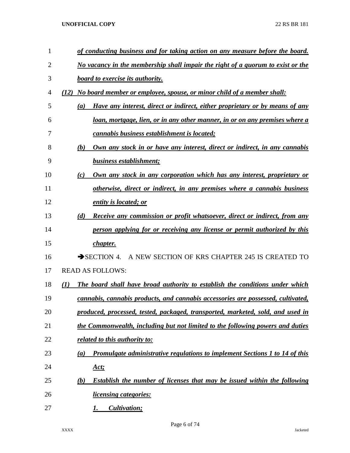| 1  | of conducting business and for taking action on any measure before the board.                    |
|----|--------------------------------------------------------------------------------------------------|
| 2  | <u>No vacancy in the membership shall impair the right of a quorum to exist or the</u>           |
| 3  | <b>board to exercise its authority.</b>                                                          |
| 4  | No board member or employee, spouse, or minor child of a member shall:<br>(12)                   |
| 5  | Have any interest, direct or indirect, either proprietary or by means of any<br>$\left(a\right)$ |
| 6  | loan, mortgage, lien, or in any other manner, in or on any premises where a                      |
| 7  | cannabis business establishment is located;                                                      |
| 8  | Own any stock in or have any interest, direct or indirect, in any cannabis<br>(b)                |
| 9  | business establishment;                                                                          |
| 10 | Own any stock in any corporation which has any interest, proprietary or<br>(c)                   |
| 11 | otherwise, direct or indirect, in any premises where a cannabis business                         |
| 12 | entity is located; or                                                                            |
| 13 | <b>Receive any commission or profit whatsoever, direct or indirect, from any</b><br>(d)          |
| 14 | person applying for or receiving any license or permit authorized by this                        |
| 15 | chapter.                                                                                         |
| 16 | A NEW SECTION OF KRS CHAPTER 245 IS CREATED TO<br>$\rightarrow$ SECTION 4.                       |
| 17 | <b>READ AS FOLLOWS:</b>                                                                          |
| 18 | The board shall have broad authority to establish the conditions under which<br>(I)              |
| 19 | cannabis, cannabis products, and cannabis accessories are possessed, cultivated,                 |
| 20 | produced, processed, tested, packaged, transported, marketed, sold, and used in                  |
| 21 | the Commonwealth, including but not limited to the following powers and duties                   |
| 22 | related to this authority to:                                                                    |
| 23 | Promulgate administrative regulations to implement Sections 1 to 14 of this<br>(a)               |
| 24 | <u>Act;</u>                                                                                      |
| 25 | <b>Establish the number of licenses that may be issued within the following</b><br>(b)           |
| 26 | <i>licensing categories:</i>                                                                     |
| 27 | Cultivation;<br>1.                                                                               |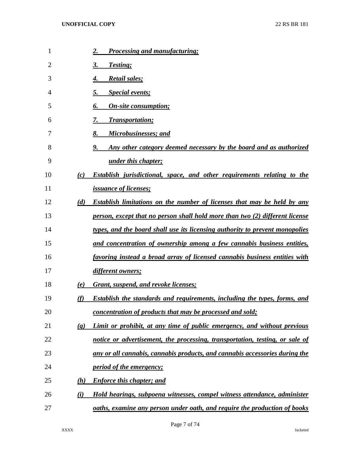| 1  |                             | <b>Processing and manufacturing;</b><br>2.                                          |
|----|-----------------------------|-------------------------------------------------------------------------------------|
| 2  |                             | Testing;<br>3.                                                                      |
| 3  |                             | <b>Retail sales;</b><br>4.                                                          |
| 4  |                             | <b>Special events;</b><br>5.                                                        |
| 5  |                             | <b>On-site consumption;</b><br>6.                                                   |
| 6  |                             | <b>Transportation;</b>                                                              |
| 7  |                             | Microbusinesses; and<br>8.                                                          |
| 8  |                             | Any other category deemed necessary by the board and as authorized<br>9.            |
| 9  |                             | under this chapter;                                                                 |
| 10 | (c)                         | Establish jurisdictional, space, and other requirements relating to the             |
| 11 |                             | <i>issuance of licenses;</i>                                                        |
| 12 | (d)                         | Establish limitations on the number of licenses that may be held by any             |
| 13 |                             | person, except that no person shall hold more than two (2) different license        |
| 14 |                             | <u>types, and the board shall use its licensing authority to prevent monopolies</u> |
| 15 |                             | and concentration of ownership among a few cannabis business entities,              |
| 16 |                             | favoring instead a broad array of licensed cannabis business entities with          |
| 17 |                             | different owners;                                                                   |
| 18 | (e)                         | Grant, suspend, and revoke licenses;                                                |
| 19 | (f)                         | <b>Establish the standards and requirements, including the types, forms, and</b>    |
| 20 |                             | concentration of products that may be processed and sold;                           |
| 21 | $\left( \mathbf{g} \right)$ | Limit or prohibit, at any time of public emergency, and without previous            |
| 22 |                             | notice or advertisement, the processing, transportation, testing, or sale of        |
| 23 |                             | any or all cannabis, cannabis products, and cannabis accessories during the         |
| 24 |                             | <i><u>period of the emergency;</u></i>                                              |
| 25 | (h)                         | <b>Enforce this chapter; and</b>                                                    |
| 26 | $\bf{(\it i)}$              | Hold hearings, subpoena witnesses, compel witness attendance, administer            |
| 27 |                             | oaths, examine any person under oath, and require the production of books           |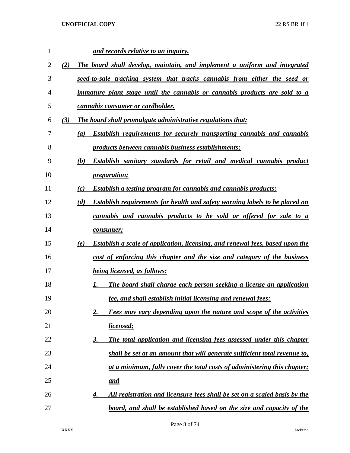| $\mathbf{1}$ |     | and records relative to an inquiry.                                                         |
|--------------|-----|---------------------------------------------------------------------------------------------|
| 2            | (2) | The board shall develop, maintain, and implement a uniform and integrated                   |
| 3            |     | <u>seed-to-sale tracking system that tracks cannabis from either the seed or</u>            |
| 4            |     | <i>immature plant stage until the cannabis or cannabis products are sold to a</i>           |
| 5            |     | <i>cannabis consumer or cardholder.</i>                                                     |
| 6            | (3) | The board shall promulgate administrative regulations that:                                 |
| 7            |     | <b>Establish requirements for securely transporting cannabis and cannabis</b><br>(a)        |
| 8            |     | products between cannabis business establishments;                                          |
| 9            |     | Establish sanitary standards for retail and medical cannabis product<br>(b)                 |
| 10           |     | <i>preparation;</i>                                                                         |
| 11           |     | <b>Establish a testing program for cannabis and cannabis products;</b><br>(c)               |
| 12           |     | <b>Establish requirements for health and safety warning labels to be placed on</b><br>(d)   |
| 13           |     | cannabis and cannabis products to be sold or offered for sale to a                          |
| 14           |     | <i>consumer</i> ;                                                                           |
| 15           |     | <b>Establish a scale of application, licensing, and renewal fees, based upon the</b><br>(e) |
| 16           |     | cost of enforcing this chapter and the size and category of the business                    |
| 17           |     | <i>being licensed, as follows:</i>                                                          |
| 18           |     | The board shall charge each person seeking a license an application<br>1.                   |
| 19           |     | fee, and shall establish initial licensing and renewal fees;                                |
| 20           |     | Fees may vary depending upon the nature and scope of the activities<br><u>2.</u>            |
| 21           |     | licensed;                                                                                   |
| 22           |     | The total application and licensing fees assessed under this chapter<br><u>3.</u>           |
| 23           |     | shall be set at an amount that will generate sufficient total revenue to,                   |
| 24           |     | at a minimum, fully cover the total costs of administering this chapter;                    |
| 25           |     | <u>and</u>                                                                                  |
| 26           |     | All registration and licensure fees shall be set on a scaled basis by the<br>4.             |
| 27           |     | board, and shall be established based on the size and capacity of the                       |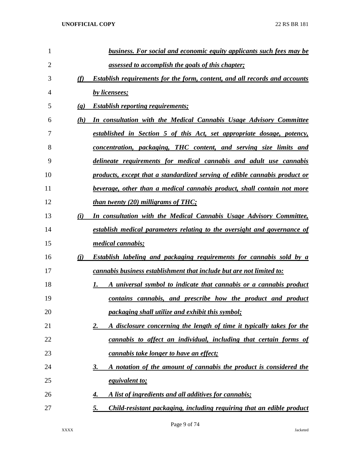| 1  |                             | <b>business. For social and economic equity applicants such fees may be</b>        |
|----|-----------------------------|------------------------------------------------------------------------------------|
| 2  |                             | <u>assessed to accomplish the goals of this chapter;</u>                           |
| 3  | (f)                         | <b>Establish requirements for the form, content, and all records and accounts</b>  |
| 4  |                             | by licensees;                                                                      |
| 5  | $\left( \mathbf{g} \right)$ | <b>Establish reporting requirements;</b>                                           |
| 6  | (h)                         | In consultation with the Medical Cannabis Usage Advisory Committee                 |
| 7  |                             | established in Section 5 of this Act, set appropriate dosage, potency,             |
| 8  |                             | <u>concentration, packaging, THC content, and serving size limits and</u>          |
| 9  |                             | delineate requirements for medical cannabis and adult use cannabis                 |
| 10 |                             | products, except that a standardized serving of edible cannabis product or         |
| 11 |                             | beverage, other than a medical cannabis product, shall contain not more            |
| 12 |                             | <u>than twenty (20) milligrams of THC;</u>                                         |
| 13 | (i)                         | In consultation with the Medical Cannabis Usage Advisory Committee,                |
| 14 |                             | <u>establish medical parameters relating to the oversight and governance of</u>    |
| 15 |                             | <i>medical cannabis;</i>                                                           |
| 16 | (i)                         | <b>Establish labeling and packaging requirements for cannabis sold by a</b>        |
| 17 |                             | cannabis business establishment that include but are not limited to:               |
| 18 |                             | A universal symbol to indicate that cannabis or a cannabis product                 |
| 19 |                             | contains cannabis, and prescribe how the product and product                       |
| 20 |                             | packaging shall utilize and exhibit this symbol;                                   |
| 21 |                             | A disclosure concerning the length of time it typically takes for the<br><u>2.</u> |
| 22 |                             | cannabis to affect an individual, including that certain forms of                  |
| 23 |                             | <i>cannabis take longer to have an effect;</i>                                     |
| 24 |                             | A notation of the amount of cannabis the product is considered the<br><u>3.</u>    |
| 25 |                             | equivalent to;                                                                     |
| 26 |                             | A list of ingredients and all additives for cannabis;<br>4.                        |
| 27 |                             | Child-resistant packaging, including requiring that an edible product<br>5.        |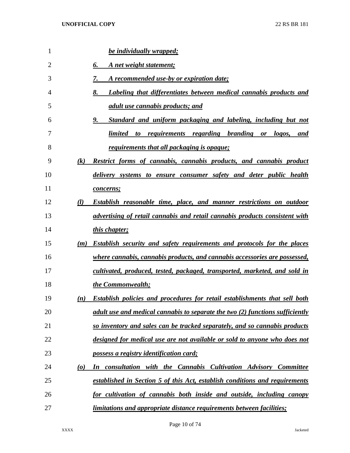| $\mathbf{1}$   | <b>be individually wrapped;</b>                                                              |
|----------------|----------------------------------------------------------------------------------------------|
| $\overline{2}$ | 6.<br>A net weight statement;                                                                |
| 3              | A recommended use-by or expiration date;<br>7.                                               |
| 4              | 8.<br>Labeling that differentiates between medical cannabis products and                     |
| 5              | <u>adult use cannabis products; and</u>                                                      |
| 6              | 9.<br>Standard and uniform packaging and labeling, including but not                         |
| 7              | limited<br><u>requirements regarding branding or</u><br>logos,<br>to<br>and                  |
| 8              | <u>requirements that all packaging is opaque;</u>                                            |
| 9              | (k)<br><b>Restrict forms of cannabis, cannabis products, and cannabis product</b>            |
| 10             | delivery systems to ensure consumer safety and deter public health                           |
| 11             | concerns;                                                                                    |
| 12             | (l)<br><b>Establish reasonable time, place, and manner restrictions on outdoor</b>           |
| 13             | advertising of retail cannabis and retail cannabis products consistent with                  |
| 14             | <i>this chapter;</i>                                                                         |
| 15             | <b>Establish security and safety requirements and protocols for the places</b><br>(m)        |
| 16             | where cannabis, cannabis products, and cannabis accessories are possessed,                   |
| 17             | cultivated, produced, tested, packaged, transported, marketed, and sold in                   |
| 18             | the Commonwealth;                                                                            |
| 19             | <b>Establish policies and procedures for retail establishments that sell both</b><br>(n)     |
| 20             | adult use and medical cannabis to separate the two (2) functions sufficiently                |
| 21             | so inventory and sales can be tracked separately, and so cannabis products                   |
| 22             | designed for medical use are not available or sold to anyone who does not                    |
| 23             | possess a registry identification card;                                                      |
| 24             | consultation with the Cannabis Cultivation Advisory Committee<br>$\boldsymbol{\omega}$<br>In |
| 25             | established in Section 5 of this Act, establish conditions and requirements                  |
| 26             | for cultivation of cannabis both inside and outside, including canopy                        |
| 27             | <i>limitations and appropriate distance requirements between facilities;</i>                 |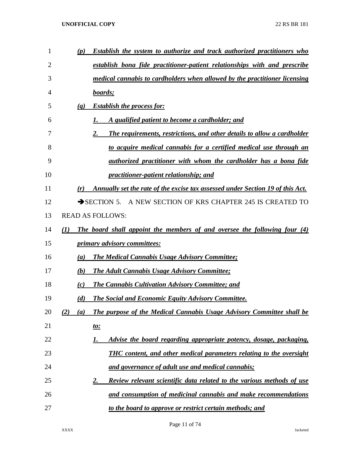| 1  | <b>Establish the system to authorize and track authorized practitioners who</b><br>(p) |
|----|----------------------------------------------------------------------------------------|
| 2  | establish bona fide practitioner-patient relationships with and prescribe              |
| 3  | medical cannabis to cardholders when allowed by the practitioner licensing             |
| 4  | boards;                                                                                |
| 5  | <b>Establish the process for:</b><br>(q)                                               |
| 6  | A qualified patient to become a cardholder; and                                        |
| 7  | The requirements, restrictions, and other details to allow a cardholder<br>2.          |
| 8  | to acquire medical cannabis for a certified medical use through an                     |
| 9  | authorized practitioner with whom the cardholder has a bona fide                       |
| 10 | practitioner-patient relationship; and                                                 |
| 11 | Annually set the rate of the excise tax assessed under Section 19 of this Act.<br>(r)  |
| 12 | SECTION 5. A NEW SECTION OF KRS CHAPTER 245 IS CREATED TO                              |
| 13 | <b>READ AS FOLLOWS:</b>                                                                |
| 14 | The board shall appoint the members of and oversee the following four (4)<br>(I)       |
| 15 | primary advisory committees:                                                           |
| 16 | <b>The Medical Cannabis Usage Advisory Committee;</b><br>(a)                           |
| 17 | <b>The Adult Cannabis Usage Advisory Committee;</b><br>(b)                             |
| 18 | <b>The Cannabis Cultivation Advisory Committee; and</b><br>(c)                         |
| 19 | <b>The Social and Economic Equity Advisory Committee.</b><br>(d)                       |
| 20 | The purpose of the Medical Cannabis Usage Advisory Committee shall be<br>(2)<br>(a)    |
| 21 | <u>to:</u>                                                                             |
| 22 | Advise the board regarding appropriate potency, dosage, packaging,<br>1.               |
| 23 | <b>THC</b> content, and other medical parameters relating to the oversight             |
| 24 | and governance of adult use and medical cannabis;                                      |
| 25 | <b>Review relevant scientific data related to the various methods of use</b><br>2.     |
| 26 | and consumption of medicinal cannabis and make recommendations                         |
| 27 | to the board to approve or restrict certain methods; and                               |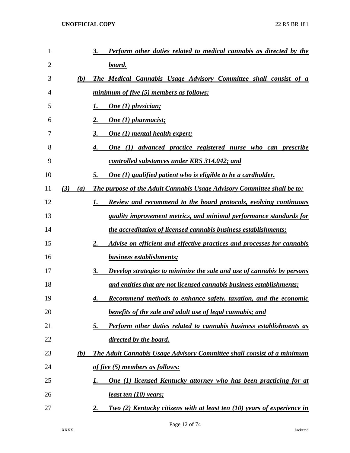| 1  |            | Perform other duties related to medical cannabis as directed by the<br>3.            |
|----|------------|--------------------------------------------------------------------------------------|
| 2  |            | <u>board.</u>                                                                        |
| 3  | (b)        | The Medical Cannabis Usage Advisory Committee shall consist of a                     |
| 4  |            | minimum of five (5) members as follows:                                              |
| 5  |            | One (1) physician;                                                                   |
| 6  |            | <b>One</b> (1) pharmacist;                                                           |
| 7  |            | <b>One (1) mental health expert;</b><br>3.                                           |
| 8  |            | <u>One (1) advanced practice registered nurse who can prescribe</u>                  |
| 9  |            | controlled substances under KRS 314.042; and                                         |
| 10 |            | One (1) qualified patient who is eligible to be a cardholder.<br>5.                  |
| 11 | (3)<br>(a) | The purpose of the Adult Cannabis Usage Advisory Committee shall be to:              |
| 12 |            | <b>Review and recommend to the board protocols, evolving continuous</b>              |
| 13 |            | quality improvement metrics, and minimal performance standards for                   |
| 14 |            | <i>the accreditation of licensed cannabis business establishments;</i>               |
| 15 |            | Advise on efficient and effective practices and processes for cannabis<br>2.         |
| 16 |            | business establishments;                                                             |
| 17 |            | Develop strategies to minimize the sale and use of cannabis by persons<br>3.         |
| 18 |            | and entities that are not licensed cannabis business establishments;                 |
| 19 |            | Recommend methods to enhance safety, taxation, and the economic<br>4.                |
| 20 |            | <b>benefits of the sale and adult use of legal cannabis; and</b>                     |
| 21 |            | Perform other duties related to cannabis business establishments as<br><u>5.</u>     |
| 22 |            | directed by the board.                                                               |
| 23 | <u>(b)</u> | The Adult Cannabis Usage Advisory Committee shall consist of a minimum               |
| 24 |            | <u>of five (5) members as follows:</u>                                               |
| 25 |            | <b>One (1) licensed Kentucky attorney who has been practicing for at</b>             |
| 26 |            | <u>least ten (10)</u> years;                                                         |
| 27 |            | Two (2) Kentucky citizens with at least ten (10) years of experience in<br><u>2.</u> |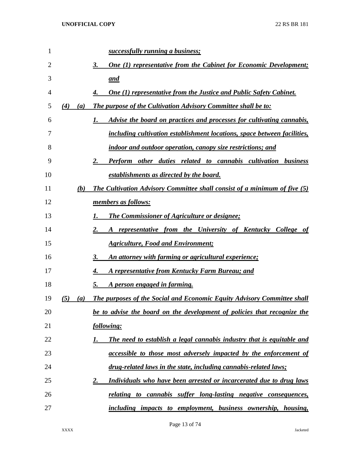| 1  |            | successfully running a business;                                                 |
|----|------------|----------------------------------------------------------------------------------|
| 2  |            | <b>One (1) representative from the Cabinet for Economic Development;</b><br>3.   |
| 3  |            | <u>and</u>                                                                       |
| 4  |            | <b>One (1) representative from the Justice and Public Safety Cabinet.</b>        |
| 5  | (4)<br>(a) | The purpose of the Cultivation Advisory Committee shall be to:                   |
| 6  |            | Advise the board on practices and processes for cultivating cannabis,            |
| 7  |            | including cultivation establishment locations, space between facilities,         |
| 8  |            | indoor and outdoor operation, canopy size restrictions; and                      |
| 9  |            | Perform other duties related to cannabis cultivation business<br>2.              |
| 10 |            | establishments as directed by the board.                                         |
| 11 | (b)        | <b>The Cultivation Advisory Committee shall consist of a minimum of five (5)</b> |
| 12 |            | members as follows:                                                              |
| 13 |            | <b>The Commissioner of Agriculture or designee;</b>                              |
| 14 |            | A representative from the University of Kentucky College of                      |
| 15 |            | <b>Agriculture, Food and Environment;</b>                                        |
| 16 |            | <u>An attorney with farming or agricultural experience;</u><br>3.                |
| 17 |            | <b>A representative from Kentucky Farm Bureau; and</b>                           |
| 18 |            | A person engaged in farming.<br>5.                                               |
| 19 | (5)<br>(a) | The purposes of the Social and Economic Equity Advisory Committee shall          |
| 20 |            | be to advise the board on the development of policies that recognize the         |
| 21 |            | <u>following:</u>                                                                |
| 22 |            | The need to establish a legal cannabis industry that is equitable and            |
| 23 |            | <i>accessible to those most adversely impacted by the enforcement of</i>         |
| 24 |            | drug-related laws in the state, including cannabis-related laws;                 |
| 25 |            | Individuals who have been arrested or incarcerated due to drug laws<br><u>2.</u> |
| 26 |            | <u>relating to cannabis suffer long-lasting negative consequences,</u>           |
| 27 |            | including impacts to employment, business ownership, housing,                    |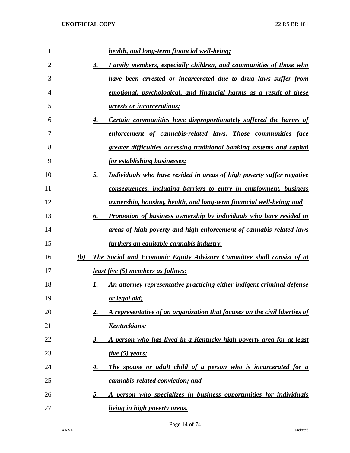| 1  |     | health, and long-term financial well-being;                                      |
|----|-----|----------------------------------------------------------------------------------|
| 2  |     | Family members, especially children, and communities of those who<br>3.          |
| 3  |     | have been arrested or incarcerated due to drug laws suffer from                  |
| 4  |     | emotional, psychological, and financial harms as a result of these               |
| 5  |     | <i><u><b>arrests or incarcerations;</b></u></i>                                  |
| 6  |     | Certain communities have disproportionately suffered the harms of<br>4.          |
| 7  |     | enforcement of cannabis-related laws. Those communities face                     |
| 8  |     | greater difficulties accessing traditional banking systems and capital           |
| 9  |     | <i>for establishing businesses;</i>                                              |
| 10 |     | Individuals who have resided in areas of high poverty suffer negative<br>5.      |
| 11 |     | <u>consequences, including barriers to entry in employment, business</u>         |
| 12 |     | <u>ownership, housing, health, and long-term financial well-being; and</u>       |
| 13 |     | <b>Promotion of business ownership by individuals who have resided in</b><br>6.  |
| 14 |     | areas of high poverty and high enforcement of cannabis-related laws              |
| 15 |     | furthers an equitable cannabis industry.                                         |
| 16 | (b) | The Social and Economic Equity Advisory Committee shall consist of at            |
| 17 |     | <i>least five</i> (5) members as follows:                                        |
| 18 |     | An attorney representative practicing either indigent criminal defense<br>I.     |
| 19 |     | or legal aid;                                                                    |
| 20 |     | A representative of an organization that focuses on the civil liberties of<br>2. |
| 21 |     | Kentuckians;                                                                     |
| 22 |     | A person who has lived in a Kentucky high poverty area for at least<br>3.        |
| 23 |     | five(5) years;                                                                   |
| 24 |     | The spouse or adult child of a person who is incarcerated for a<br>4.            |
| 25 |     | cannabis-related conviction; and                                                 |
| 26 |     | A person who specializes in business opportunities for individuals<br><u>5.</u>  |
| 27 |     | <i>living in high poverty areas.</i>                                             |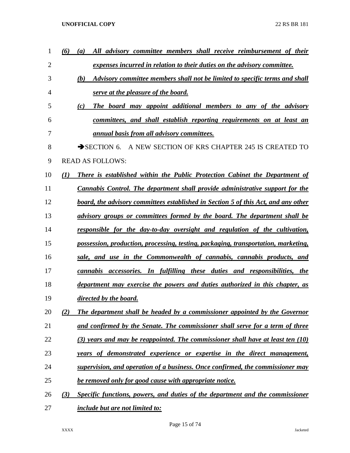| 1  | (6) | All advisory committee members shall receive reimbursement of their<br>$\boldsymbol{a}$ |
|----|-----|-----------------------------------------------------------------------------------------|
| 2  |     | expenses incurred in relation to their duties on the advisory committee.                |
| 3  |     | Advisory committee members shall not be limited to specific terms and shall<br>(b)      |
| 4  |     | serve at the pleasure of the board.                                                     |
| 5  |     | (c)<br>The board may appoint additional members to any of the advisory                  |
| 6  |     | committees, and shall establish reporting requirements on at least an                   |
| 7  |     | <i><u>annual basis from all advisory committees.</u></i>                                |
| 8  |     | $\rightarrow$ SECTION 6.<br>A NEW SECTION OF KRS CHAPTER 245 IS CREATED TO              |
| 9  |     | <b>READ AS FOLLOWS:</b>                                                                 |
| 10 | (I) | <b>There is established within the Public Protection Cabinet the Department of</b>      |
| 11 |     | <b>Cannabis Control. The department shall provide administrative support for the</b>    |
| 12 |     | board, the advisory committees established in Section 5 of this Act, and any other      |
| 13 |     | advisory groups or committees formed by the board. The department shall be              |
| 14 |     | responsible for the day-to-day oversight and regulation of the cultivation,             |
| 15 |     | possession, production, processing, testing, packaging, transportation, marketing,      |
| 16 |     | sale, and use in the Commonwealth of cannabis, cannabis products, and                   |
| 17 |     | cannabis accessories. In fulfilling these duties and responsibilities, the              |
| 18 |     | department may exercise the powers and duties authorized in this chapter, as            |
| 19 |     | <i>directed by the board.</i>                                                           |
| 20 | (2) | The department shall be headed by a commissioner appointed by the Governor              |
| 21 |     | and confirmed by the Senate. The commissioner shall serve for a term of three           |
| 22 |     | (3) years and may be reappointed. The commissioner shall have at least ten (10)         |
| 23 |     | years of demonstrated experience or expertise in the direct management,                 |
| 24 |     | supervision, and operation of a business. Once confirmed, the commissioner may          |
| 25 |     | be removed only for good cause with appropriate notice.                                 |
| 26 | (3) | Specific functions, powers, and duties of the department and the commissioner           |
| 27 |     | <i>include but are not limited to:</i>                                                  |

Page 15 of 74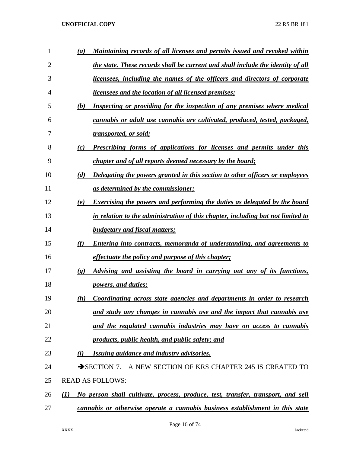| 1  | $\boldsymbol{a}$         | <u>Maintaining records of all licenses and permits issued and revoked within</u> |
|----|--------------------------|----------------------------------------------------------------------------------|
| 2  |                          | the state. These records shall be current and shall include the identity of all  |
| 3  |                          | licensees, including the names of the officers and directors of corporate        |
| 4  |                          | <i><u><b>licensees and the location of all licensed premises;</b></u></i>        |
| 5  | (b)                      | Inspecting or providing for the inspection of any premises where medical         |
| 6  |                          | cannabis or adult use cannabis are cultivated, produced, tested, packaged,       |
| 7  |                          | <u>transported, or sold;</u>                                                     |
| 8  | (c)                      | <b>Prescribing forms of applications for licenses and permits under this</b>     |
| 9  |                          | <i>chapter and of all reports deemed necessary by the board;</i>                 |
| 10 | (d)                      | Delegating the powers granted in this section to other officers or employees     |
| 11 |                          | <u>as determined by the commissioner;</u>                                        |
| 12 | (e)                      | <b>Exercising the powers and performing the duties as delegated by the board</b> |
| 13 |                          | in relation to the administration of this chapter, including but not limited to  |
| 14 |                          | <b>budgetary and fiscal matters;</b>                                             |
| 15 | (f)                      | Entering into contracts, memoranda of understanding, and agreements to           |
| 16 |                          | <i>effectuate the policy and purpose of this chapter;</i>                        |
| 17 | $\left( \varrho \right)$ | Advising and assisting the board in carrying out any of its functions,           |
| 18 |                          | <i>powers, and duties;</i>                                                       |
| 19 | (h)                      | Coordinating across state agencies and departments in order to research          |
| 20 |                          | and study any changes in cannabis use and the impact that cannabis use           |
| 21 |                          | and the regulated cannabis industries may have on access to cannabis             |
| 22 |                          | <u>products, public health, and public safety; and products</u>                  |
| 23 | (i)                      | Issuing guidance and industry advisories.                                        |
| 24 |                          | SECTION 7. A NEW SECTION OF KRS CHAPTER 245 IS CREATED TO                        |
| 25 |                          | <b>READ AS FOLLOWS:</b>                                                          |
| 26 | (I)                      | No person shall cultivate, process, produce, test, transfer, transport, and sell |
| 27 |                          | cannabis or otherwise operate a cannabis business establishment in this state    |
|    |                          |                                                                                  |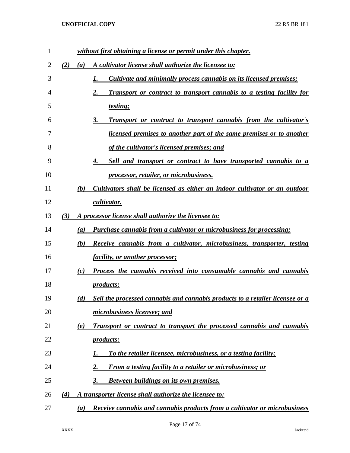| $\mathbf{1}$ |     | without first obtaining a license or permit under this chapter.                       |
|--------------|-----|---------------------------------------------------------------------------------------|
| 2            | (2) | A cultivator license shall authorize the licensee to:<br>(a)                          |
| 3            |     | <u>Cultivate and minimally process cannabis on its licensed premises;</u><br>1.       |
| 4            |     | 2.<br>Transport or contract to transport cannabis to a testing facility for           |
| 5            |     | <i>testing</i> ;                                                                      |
| 6            |     | <b>Transport or contract to transport cannabis from the cultivator's</b><br>3.        |
| 7            |     | <u>licensed premises to another part of the same premises or to another</u>           |
| 8            |     | of the cultivator's licensed premises; and                                            |
| 9            |     | Sell and transport or contract to have transported cannabis to a<br>4.                |
| 10           |     | <i><u><b>processor, retailer, or microbusiness.</b></u></i>                           |
| 11           |     | (b)<br>Cultivators shall be licensed as either an indoor cultivator or an outdoor     |
| 12           |     | cultivator.                                                                           |
| 13           | (3) | A processor license shall authorize the licensee to:                                  |
| 14           |     | <b>Purchase cannabis from a cultivator or microbusiness for processing;</b><br>(a)    |
| 15           |     | (b)<br><b>Receive cannabis from a cultivator, microbusiness, transporter, testing</b> |
| 16           |     | <i>facility, or another processor;</i>                                                |
| 17           |     | Process the cannabis received into consumable cannabis and cannabis<br>(c)            |
| 18           |     | <i>products;</i>                                                                      |
| 19           |     | (d)<br>Sell the processed cannabis and cannabis products to a retailer licensee or a  |
| 20           |     | microbusiness licensee; and                                                           |
| 21           |     | Transport or contract to transport the processed cannabis and cannabis<br>(e)         |
| 22           |     | <i>products:</i>                                                                      |
| 23           |     | To the retailer licensee, microbusiness, or a testing facility;<br>I.                 |
| 24           |     | 2.<br><b>From a testing facility to a retailer or microbusiness; or</b>               |
| 25           |     | <b>Between buildings on its own premises.</b><br>3.                                   |
| 26           | (4) | A transporter license shall authorize the licensee to:                                |
| 27           |     | Receive cannabis and cannabis products from a cultivator or microbusiness<br>(a)      |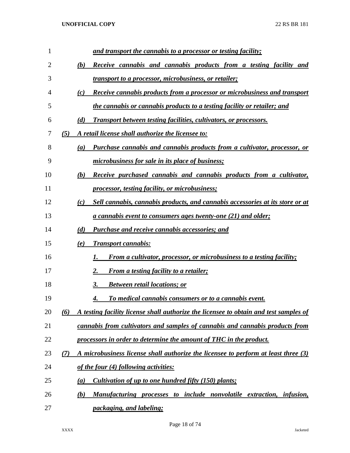| $\mathbf{1}$ | and transport the cannabis to a processor or testing facility;                               |
|--------------|----------------------------------------------------------------------------------------------|
| 2            | (b)<br>Receive cannabis and cannabis products from a testing facility and                    |
| 3            | <i>transport to a processor, microbusiness, or retailer;</i>                                 |
| 4            | (c)<br><b>Receive cannabis products from a processor or microbusiness and transport</b>      |
| 5            | the cannabis or cannabis products to a testing facility or retailer; and                     |
| 6            | (d)<br><b>Transport between testing facilities, cultivators, or processors.</b>              |
| 7            | A retail license shall authorize the licensee to:<br>(5)                                     |
| 8            | <b>Purchase cannabis and cannabis products from a cultivator, processor, or</b><br>(a)       |
| 9            | <u>microbusiness for sale in its place of business;</u>                                      |
| 10           | (b)<br><b>Receive purchased cannabis and cannabis products from a cultivator,</b>            |
| 11           | processor, testing facility, or microbusiness;                                               |
| 12           | Sell cannabis, cannabis products, and cannabis accessories at its store or at<br>(c)         |
| 13           | <u>a cannabis event to consumers ages twenty-one (21) and older;</u>                         |
| 14           | (d)<br><b>Purchase and receive cannabis accessories; and</b>                                 |
| 15           | <b>Transport cannabis:</b><br>(e)                                                            |
| 16           | From a cultivator, processor, or microbusiness to a testing facility;                        |
| 17           | 2.<br><b>From a testing facility to a retailer;</b>                                          |
| 18           | <b>Between retail locations; or</b><br>3.                                                    |
| 19           | To medical cannabis consumers or to a cannabis event.<br>4.                                  |
| 20           | A testing facility license shall authorize the licensee to obtain and test samples of<br>(6) |
| 21           | cannabis from cultivators and samples of cannabis and cannabis products from                 |
| 22           | processors in order to determine the amount of THC in the product.                           |
| 23           | A microbusiness license shall authorize the licensee to perform at least three (3)<br>(7)    |
| 24           | of the four (4) following activities:                                                        |
| 25           | <i>Cultivation of up to one hundred fifty (150) plants;</i><br>(a)                           |
| 26           | Manufacturing processes to include nonvolatile extraction, infusion,<br>(b)                  |
| 27           | packaging, and labeling;                                                                     |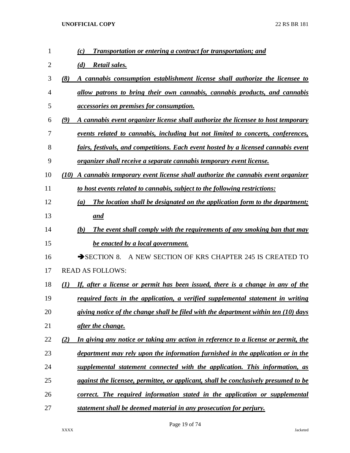| 1              | <b>Transportation or entering a contract for transportation; and</b><br>(c)               |
|----------------|-------------------------------------------------------------------------------------------|
| $\overline{2}$ | <b>Retail sales.</b><br>(d)                                                               |
| 3              | A cannabis consumption establishment license shall authorize the licensee to<br>(8)       |
| 4              | allow patrons to bring their own cannabis, cannabis products, and cannabis                |
| 5              | <i>accessories on premises for consumption.</i>                                           |
| 6              | A cannabis event organizer license shall authorize the licensee to host temporary<br>(9)  |
| 7              | events related to cannabis, including but not limited to concerts, conferences,           |
| 8              | fairs, festivals, and competitions. Each event hosted by a licensed cannabis event        |
| 9              | organizer shall receive a separate cannabis temporary event license.                      |
| 10             | (10) A cannabis temporary event license shall authorize the cannabis event organizer      |
| 11             | to host events related to cannabis, subject to the following restrictions:                |
| 12             | The location shall be designated on the application form to the department;<br>(a)        |
| 13             | and                                                                                       |
| 14             | The event shall comply with the requirements of any smoking ban that may<br>(b)           |
| 15             | be enacted by a local government.                                                         |
| 16             | $\rightarrow$ SECTION 8.<br>A NEW SECTION OF KRS CHAPTER 245 IS CREATED TO                |
| 17             | <b>READ AS FOLLOWS:</b>                                                                   |
| 18             | If, after a license or permit has been issued, there is a change in any of the<br>(1)     |
| 19             | required facts in the application, a verified supplemental statement in writing           |
| 20             | giving notice of the change shall be filed with the department within ten (10) days       |
| 21             | after the change.                                                                         |
| 22             | In giving any notice or taking any action in reference to a license or permit, the<br>(2) |
| 23             | department may rely upon the information furnished in the application or in the           |
| 24             | supplemental statement connected with the application. This information, as               |
| 25             | against the licensee, permittee, or applicant, shall be conclusively presumed to be       |
| 26             | correct. The required information stated in the application or supplemental               |
| 27             | statement shall be deemed material in any prosecution for perjury.                        |

Page 19 of 74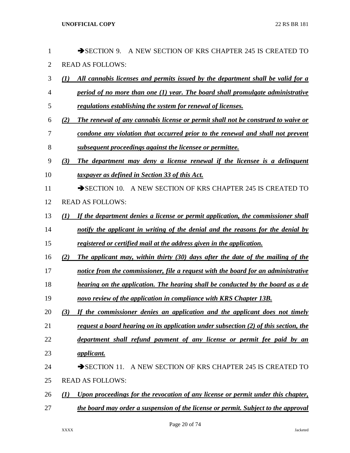| 1              | SECTION 9.<br>A NEW SECTION OF KRS CHAPTER 245 IS CREATED<br>TO                         |
|----------------|-----------------------------------------------------------------------------------------|
| $\overline{2}$ | <b>READ AS FOLLOWS:</b>                                                                 |
| 3              | All cannabis licenses and permits issued by the department shall be valid for a<br>(1)  |
| 4              | period of no more than one (1) year. The board shall promulgate administrative          |
| 5              | regulations establishing the system for renewal of licenses.                            |
| 6              | The renewal of any cannabis license or permit shall not be construed to waive or<br>(2) |
| 7              | condone any violation that occurred prior to the renewal and shall not prevent          |
| 8              | subsequent proceedings against the licensee or permittee.                               |
| 9              | The department may deny a license renewal if the licensee is a delinquent<br>(3)        |
| 10             | taxpayer as defined in Section 33 of this Act.                                          |
| 11             | SECTION 10. A NEW SECTION OF KRS CHAPTER 245 IS CREATED TO                              |
| 12             | <b>READ AS FOLLOWS:</b>                                                                 |
| 13             | If the department denies a license or permit application, the commissioner shall<br>(I) |
| 14             | notify the applicant in writing of the denial and the reasons for the denial by         |
| 15             | registered or certified mail at the address given in the application.                   |
| 16             | The applicant may, within thirty (30) days after the date of the mailing of the<br>(2)  |
| 17             | notice from the commissioner, file a request with the board for an administrative       |
| 18             | hearing on the application. The hearing shall be conducted by the board as a de         |
| 19             | novo review of the application in compliance with KRS Chapter 13B.                      |
| 20             | If the commissioner denies an application and the applicant does not timely<br>(3)      |
| 21             | request a board hearing on its application under subsection (2) of this section, the    |
| 22             | department shall refund payment of any license or permit fee paid by an                 |
| 23             | <u>applicant.</u>                                                                       |
| 24             | SECTION 11. A NEW SECTION OF KRS CHAPTER 245 IS CREATED TO                              |
| 25             | <b>READ AS FOLLOWS:</b>                                                                 |
| 26             | Upon proceedings for the revocation of any license or permit under this chapter,<br>(1) |
| 27             | the board may order a suspension of the license or permit. Subject to the approval      |
|                |                                                                                         |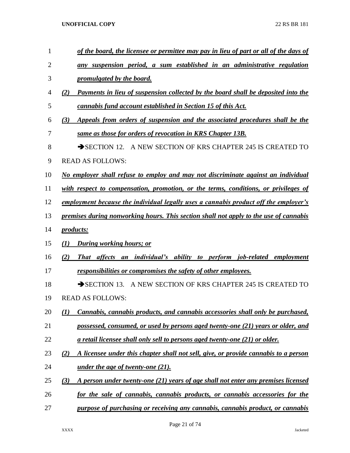| 1              | <u>of the board, the licensee or permittee may pay in lieu of part or all of the days of</u> |
|----------------|----------------------------------------------------------------------------------------------|
| $\overline{2}$ | any suspension period, a sum established in an administrative regulation                     |
| 3              | promulgated by the board.                                                                    |
| $\overline{4}$ | Payments in lieu of suspension collected by the board shall be deposited into the<br>(2)     |
| 5              | cannabis fund account established in Section 15 of this Act.                                 |
| 6              | Appeals from orders of suspension and the associated procedures shall be the<br>(3)          |
| 7              | same as those for orders of revocation in KRS Chapter 13B.                                   |
| 8              | SECTION 12. A NEW SECTION OF KRS CHAPTER 245 IS CREATED TO                                   |
| 9              | <b>READ AS FOLLOWS:</b>                                                                      |
| 10             | No employer shall refuse to employ and may not discriminate against an individual            |
| 11             | with respect to compensation, promotion, or the terms, conditions, or privileges of          |
| 12             | employment because the individual legally uses a cannabis product off the employer's         |
| 13             | premises during nonworking hours. This section shall not apply to the use of cannabis        |
| 14             | <i>products:</i>                                                                             |
| 15             | During working hours; or<br>(1)                                                              |
| 16             | (2)<br>That affects<br><i>individual's ability to perform job-related employment</i><br>an   |
| 17             | responsibilities or compromises the safety of other employees.                               |
| 18             | $\rightarrow$ SECTION 13.<br>A NEW SECTION OF KRS CHAPTER 245 IS CREATED TO                  |
| 19             | <b>READ AS FOLLOWS:</b>                                                                      |
| 20             | Cannabis, cannabis products, and cannabis accessories shall only be purchased,<br>(I)        |
| 21             | possessed, consumed, or used by persons aged twenty-one (21) years or older, and             |
| 22             | <u>a retail licensee shall only sell to persons aged twenty-one (21) or older.</u>           |
| 23             | A licensee under this chapter shall not sell, give, or provide cannabis to a person<br>(2)   |
| 24             | under the age of twenty-one (21).                                                            |
| 25             | (3)<br>A person under twenty-one (21) years of age shall not enter any premises licensed     |
| 26             | for the sale of cannabis, cannabis products, or cannabis accessories for the                 |
| 27             | purpose of purchasing or receiving any cannabis, cannabis product, or cannabis               |
|                |                                                                                              |

Page 21 of 74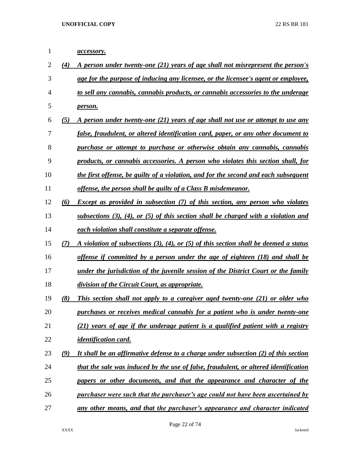*accessory. (4) A person under twenty-one (21) years of age shall not misrepresent the person's age for the purpose of inducing any licensee, or the licensee's agent or employee, to sell any cannabis, cannabis products, or cannabis accessories to the underage person. (5) A person under twenty-one (21) years of age shall not use or attempt to use any false, fraudulent, or altered identification card, paper, or any other document to purchase or attempt to purchase or otherwise obtain any cannabis, cannabis products, or cannabis accessories. A person who violates this section shall, for the first offense, be guilty of a violation, and for the second and each subsequent offense, the person shall be guilty of a Class B misdemeanor. (6) Except as provided in subsection (7) of this section, any person who violates subsections (3), (4), or (5) of this section shall be charged with a violation and each violation shall constitute a separate offense. (7) A violation of subsections (3), (4), or (5) of this section shall be deemed a status offense if committed by a person under the age of eighteen (18) and shall be under the jurisdiction of the juvenile session of the District Court or the family division of the Circuit Court, as appropriate. (8) This section shall not apply to a caregiver aged twenty-one (21) or older who purchases or receives medical cannabis for a patient who is under twenty-one (21) years of age if the underage patient is a qualified patient with a registry identification card. (9) It shall be an affirmative defense to a charge under subsection (2) of this section that the sale was induced by the use of false, fraudulent, or altered identification papers or other documents, and that the appearance and character of the purchaser were such that the purchaser's age could not have been ascertained by any other means, and that the purchaser's appearance and character indicated*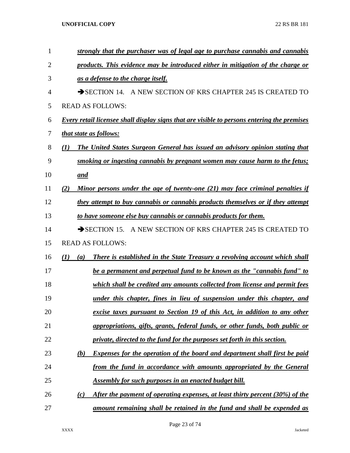| $\mathbf{1}$   | strongly that the purchaser was of legal age to purchase cannabis and cannabis              |
|----------------|---------------------------------------------------------------------------------------------|
| $\overline{2}$ | products. This evidence may be introduced either in mitigation of the charge or             |
| 3              | as a defense to the charge itself.                                                          |
| 4              | SECTION 14. A NEW SECTION OF KRS CHAPTER 245 IS CREATED TO                                  |
| 5              | <b>READ AS FOLLOWS:</b>                                                                     |
| 6              | Every retail licensee shall display signs that are visible to persons entering the premises |
| 7              | <i>that state as follows:</i>                                                               |
| 8              | The United States Surgeon General has issued an advisory opinion stating that<br>(I)        |
| 9              | smoking or ingesting cannabis by pregnant women may cause harm to the fetus;                |
| 10             | <u>and</u>                                                                                  |
| 11             | Minor persons under the age of twenty-one (21) may face criminal penalties if<br>(2)        |
| 12             | they attempt to buy cannabis or cannabis products themselves or if they attempt             |
| 13             | to have someone else buy cannabis or cannabis products for them.                            |
| 14             | SECTION 15. A NEW SECTION OF KRS CHAPTER 245 IS CREATED TO                                  |
| 15             | <b>READ AS FOLLOWS:</b>                                                                     |
| 16             | There is established in the State Treasury a revolving account which shall<br>(I)<br>(a)    |
| 17             | be a permanent and perpetual fund to be known as the "cannabis fund" to                     |
| 18             | which shall be credited any amounts collected from license and permit fees                  |
| 19             | under this chapter, fines in lieu of suspension under this chapter, and                     |
| 20             | excise taxes pursuant to Section 19 of this Act, in addition to any other                   |
| 21             | <i>appropriations, gifts, grants, federal funds, or other funds, both public or</i>         |
| 22             | private, directed to the fund for the purposes set forth in this section.                   |
| 23             | <b>Expenses for the operation of the board and department shall first be paid</b><br>(b)    |
| 24             | from the fund in accordance with amounts appropriated by the General                        |
| 25             | <b>Assembly for such purposes in an enacted budget bill.</b>                                |
| 26             | After the payment of operating expenses, at least thirty percent (30%) of the<br>(c)        |
| 27             | amount remaining shall be retained in the fund and shall be expended as                     |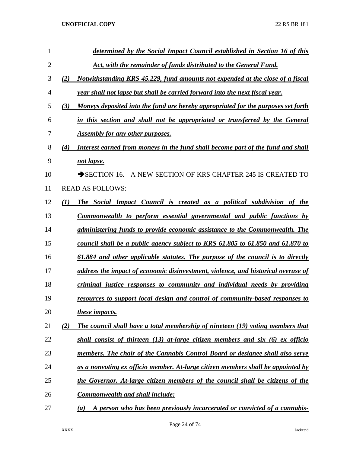| 1              |     | determined by the Social Impact Council established in Section 16 of this         |
|----------------|-----|-----------------------------------------------------------------------------------|
| $\overline{2}$ |     | Act, with the remainder of funds distributed to the General Fund.                 |
| 3              | (2) | Notwithstanding KRS 45.229, fund amounts not expended at the close of a fiscal    |
| 4              |     | year shall not lapse but shall be carried forward into the next fiscal year.      |
| 5              | (3) | Moneys deposited into the fund are hereby appropriated for the purposes set forth |
| 6              |     | in this section and shall not be appropriated or transferred by the General       |
| 7              |     | <b>Assembly for any other purposes.</b>                                           |
| 8              | (4) | Interest earned from moneys in the fund shall become part of the fund and shall   |
| 9              |     | not lapse.                                                                        |
| 10             |     | A NEW SECTION OF KRS CHAPTER 245 IS CREATED TO<br>$\rightarrow$ SECTION 16.       |
| 11             |     | <b>READ AS FOLLOWS:</b>                                                           |
| 12             | (I) | The Social Impact Council is created as a political subdivision of the            |
| 13             |     | Commonwealth to perform essential governmental and public functions by            |
| 14             |     | administering funds to provide economic assistance to the Commonwealth. The       |
| 15             |     | council shall be a public agency subject to KRS 61.805 to 61.850 and 61.870 to    |
| 16             |     | 61.884 and other applicable statutes. The purpose of the council is to directly   |
| 17             |     | address the impact of economic disinvestment, violence, and historical overuse of |
| 18             |     | criminal justice responses to community and individual needs by providing         |
| 19             |     | resources to support local design and control of community-based responses to     |
| 20             |     | these impacts.                                                                    |
| 21             | (2) | The council shall have a total membership of nineteen (19) voting members that    |
| 22             |     | shall consist of thirteen (13) at-large citizen members and six (6) ex officion   |
| 23             |     | members. The chair of the Cannabis Control Board or designee shall also serve     |
| 24             |     | as a nonvoting ex officio member. At-large citizen members shall be appointed by  |
| 25             |     | the Governor. At-large citizen members of the council shall be citizens of the    |
| 26             |     | <b>Commonwealth and shall include:</b>                                            |
| 27             |     | A person who has been previously incarcerated or convicted of a cannabis-<br>(a)  |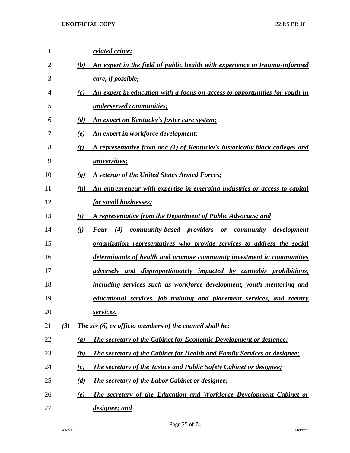| 1  |     |                             | related crime;                                                                        |
|----|-----|-----------------------------|---------------------------------------------------------------------------------------|
| 2  |     | (b)                         | An expert in the field of public health with experience in trauma-informed            |
| 3  |     |                             | care, if possible;                                                                    |
| 4  |     | (c)                         | An expert in education with a focus on access to opportunities for youth in           |
| 5  |     |                             | underserved communities;                                                              |
| 6  |     | (d)                         | <u>An expert on Kentucky's foster care system;</u>                                    |
| 7  |     | (e)                         | An expert in workforce development;                                                   |
| 8  |     | (f)                         | A representative from one (1) of Kentucky's historically black colleges and           |
| 9  |     |                             | <i><u><b>universities</b></u></i>                                                     |
| 10 |     | $\left( \mathbf{g} \right)$ | A veteran of the United States Armed Forces;                                          |
| 11 |     | (h)                         | An entrepreneur with expertise in emerging industries or access to capital            |
| 12 |     |                             | for small businesses;                                                                 |
| 13 |     | (i)                         | A representative from the Department of Public Advocacy; and                          |
| 14 |     | (i)                         | (4)<br><i>community-based providers</i><br><b>Four</b><br>community development<br>or |
| 15 |     |                             | organization representatives who provide services to address the social               |
| 16 |     |                             | determinants of health and promote community investment in communities                |
| 17 |     |                             | <i>adversely and disproportionately impacted by cannabis prohibitions,</i>            |
| 18 |     |                             | including services such as workforce development, youth mentoring and                 |
| 19 |     |                             | educational services, job training and placement services, and reentry                |
| 20 |     |                             | services.                                                                             |
| 21 | (3) |                             | The six (6) ex officio members of the council shall be:                               |
| 22 |     | (a)                         | <b>The secretary of the Cabinet for Economic Development or designee;</b>             |
| 23 |     | (b)                         | <b>The secretary of the Cabinet for Health and Family Services or designee;</b>       |
| 24 |     | (c)                         | <b>The secretary of the Justice and Public Safety Cabinet or designee;</b>            |
| 25 |     | (d)                         | <b>The secretary of the Labor Cabinet or designee;</b>                                |
| 26 |     | (e)                         | The secretary of the Education and Workforce Development Cabinet or                   |
| 27 |     |                             | designee; and                                                                         |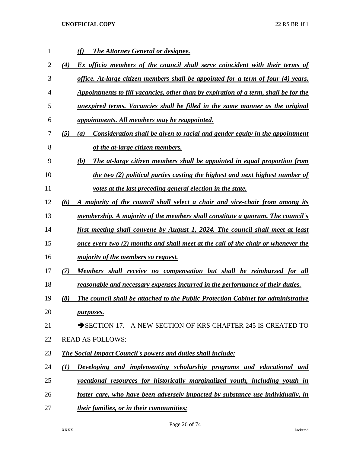| 1              | <b>The Attorney General or designee.</b><br>(f)                                           |
|----------------|-------------------------------------------------------------------------------------------|
| $\overline{2}$ | Ex officio members of the council shall serve coincident with their terms of<br>(4)       |
| 3              | office. At-large citizen members shall be appointed for a term of four (4) years.         |
| 4              | Appointments to fill vacancies, other than by expiration of a term, shall be for the      |
| 5              | unexpired terms. Vacancies shall be filled in the same manner as the original             |
| 6              | appointments. All members may be reappointed.                                             |
| 7              | Consideration shall be given to racial and gender equity in the appointment<br>(5)<br>(a) |
| 8              | of the at-large citizen members.                                                          |
| 9              | The at-large citizen members shall be appointed in equal proportion from<br>(b)           |
| 10             | the two (2) political parties casting the highest and next highest number of              |
| 11             | votes at the last preceding general election in the state.                                |
| 12             | A majority of the council shall select a chair and vice-chair from among its<br>(6)       |
| 13             | membership. A majority of the members shall constitute a quorum. The council's            |
| 14             | first meeting shall convene by August 1, 2024. The council shall meet at least            |
| 15             | <u>once every two (2) months and shall meet at the call of the chair or whenever the</u>  |
| 16             | <i>majority of the members so request.</i>                                                |
| 17             | Members shall receive no compensation but shall be reimbursed for all<br>(7)              |
| 18             | reasonable and necessary expenses incurred in the performance of their duties.            |
| 19             | The council shall be attached to the Public Protection Cabinet for administrative<br>(8)  |
| 20             | <i>purposes.</i>                                                                          |
| 21             | SECTION 17. A NEW SECTION OF KRS CHAPTER 245 IS CREATED TO                                |
| 22             | <b>READ AS FOLLOWS:</b>                                                                   |
| 23             | <b>The Social Impact Council's powers and duties shall include:</b>                       |
| 24             | Developing and implementing scholarship programs and educational and<br>(1)               |
| 25             | vocational resources for historically marginalized youth, including youth in              |
| 26             | foster care, who have been adversely impacted by substance use individually, in           |
| 27             | their families, or in their communities;                                                  |

Page 26 of 74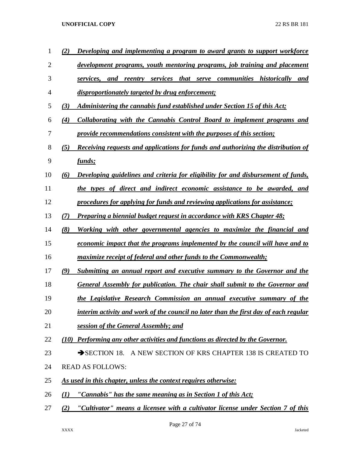| 1  | (2)      | Developing and implementing a program to award grants to support workforce               |
|----|----------|------------------------------------------------------------------------------------------|
| 2  |          | development programs, youth mentoring programs, job training and placement               |
| 3  |          | services, and reentry services that serve communities historically<br>and                |
| 4  |          | disproportionately targeted by drug enforcement;                                         |
| 5  | (3)      | Administering the cannabis fund established under Section 15 of this Act;                |
| 6  | (4)      | Collaborating with the Cannabis Control Board to implement programs and                  |
| 7  |          | provide recommendations consistent with the purposes of this section;                    |
| 8  | (5)      | <b>Receiving requests and applications for funds and authorizing the distribution of</b> |
| 9  |          | funds;                                                                                   |
| 10 | (6)      | Developing guidelines and criteria for eligibility for and disbursement of funds,        |
| 11 |          | the types of direct and indirect economic assistance to be awarded, and                  |
| 12 |          | procedures for applying for funds and reviewing applications for assistance;             |
| 13 | (7)      | <b>Preparing a biennial budget request in accordance with KRS Chapter 48;</b>            |
| 14 | (8)      | Working with other governmental agencies to maximize the financial and                   |
| 15 |          | economic impact that the programs implemented by the council will have and to            |
| 16 |          | <i>maximize receipt of federal and other funds to the Commonwealth;</i>                  |
| 17 | (9)      | Submitting an annual report and executive summary to the Governor and the                |
| 18 |          | General Assembly for publication. The chair shall submit to the Governor and             |
| 19 |          | the Legislative Research Commission an annual executive summary of the                   |
| 20 |          | interim activity and work of the council no later than the first day of each regular     |
| 21 |          | session of the General Assembly; and                                                     |
| 22 |          | (10) Performing any other activities and functions as directed by the Governor.          |
| 23 |          | A NEW SECTION OF KRS CHAPTER 138 IS CREATED TO<br>$\rightarrow$ SECTION 18.              |
| 24 |          | <b>READ AS FOLLOWS:</b>                                                                  |
| 25 |          | As used in this chapter, unless the context requires otherwise:                          |
| 26 | $\bf(1)$ | "Cannabis" has the same meaning as in Section 1 of this Act;                             |
| 27 | (2)      | "Cultivator" means a licensee with a cultivator license under Section 7 of this          |

Page 27 of 74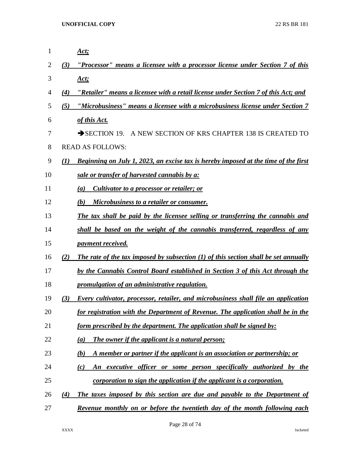| $\mathbf{1}$ |                  | <u>Act;</u>                                                                               |
|--------------|------------------|-------------------------------------------------------------------------------------------|
| 2            | (3)              | "Processor" means a licensee with a processor license under Section 7 of this             |
| 3            |                  | <u>Act;</u>                                                                               |
| 4            | (4)              | "Retailer" means a licensee with a retail license under Section 7 of this Act; and        |
| 5            | (5)              | "Microbusiness" means a licensee with a microbusiness license under Section 7             |
| 6            |                  | of this Act.                                                                              |
| 7            |                  | $\rightarrow$ SECTION 19.<br>A NEW SECTION OF KRS CHAPTER 138 IS CREATED TO               |
| 8            |                  | <b>READ AS FOLLOWS:</b>                                                                   |
| 9            | $\mathcal{L}(I)$ | Beginning on July 1, 2023, an excise tax is hereby imposed at the time of the first       |
| 10           |                  | sale or transfer of harvested cannabis by a:                                              |
| 11           |                  | Cultivator to a processor or retailer; or<br>(a)                                          |
| 12           |                  | (b)<br>Microbusiness to a retailer or consumer.                                           |
| 13           |                  | The tax shall be paid by the licensee selling or transferring the cannabis and            |
| 14           |                  | shall be based on the weight of the cannabis transferred, regardless of any               |
| 15           |                  | <i>payment received.</i>                                                                  |
| 16           | (2)              | The rate of the tax imposed by subsection (1) of this section shall be set annually       |
| 17           |                  | by the Cannabis Control Board established in Section 3 of this Act through the            |
| 18           |                  | promulgation of an administrative regulation.                                             |
| 19           | (3)              | <b>Every cultivator, processor, retailer, and microbusiness shall file an application</b> |
| 20           |                  | for registration with the Department of Revenue. The application shall be in the          |
| 21           |                  | <u>form prescribed by the department. The application shall be signed by:</u>             |
| 22           |                  | The owner if the applicant is a natural person;<br>(a)                                    |
| 23           |                  | A member or partner if the applicant is an association or partnership; or<br>(b)          |
| 24           |                  | An executive officer or some person specifically authorized by the<br>(c)                 |
| 25           |                  | corporation to sign the application if the applicant is a corporation.                    |
| 26           | (4)              | The taxes imposed by this section are due and payable to the Department of                |
| 27           |                  | Revenue monthly on or before the twentieth day of the month following each                |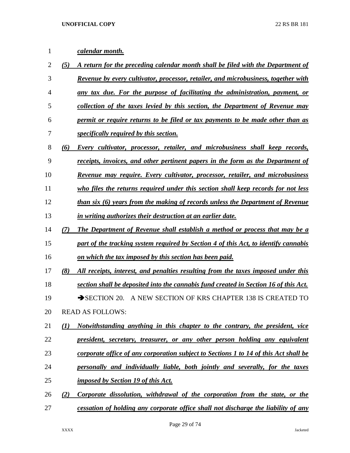# *calendar month.*

- *(5) A return for the preceding calendar month shall be filed with the Department of Revenue by every cultivator, processor, retailer, and microbusiness, together with any tax due. For the purpose of facilitating the administration, payment, or collection of the taxes levied by this section, the Department of Revenue may permit or require returns to be filed or tax payments to be made other than as specifically required by this section. (6) Every cultivator, processor, retailer, and microbusiness shall keep records, receipts, invoices, and other pertinent papers in the form as the Department of Revenue may require. Every cultivator, processor, retailer, and microbusiness who files the returns required under this section shall keep records for not less than six (6) years from the making of records unless the Department of Revenue in writing authorizes their destruction at an earlier date. (7) The Department of Revenue shall establish a method or process that may be a part of the tracking system required by Section 4 of this Act, to identify cannabis on which the tax imposed by this section has been paid. (8) All receipts, interest, and penalties resulting from the taxes imposed under this section shall be deposited into the cannabis fund created in Section 16 of this Act.* 19 SECTION 20. A NEW SECTION OF KRS CHAPTER 138 IS CREATED TO READ AS FOLLOWS: *(1) Notwithstanding anything in this chapter to the contrary, the president, vice president, secretary, treasurer, or any other person holding any equivalent corporate office of any corporation subject to Sections 1 to 14 of this Act shall be personally and individually liable, both jointly and severally, for the taxes imposed by Section 19 of this Act. (2) Corporate dissolution, withdrawal of the corporation from the state, or the*
- *cessation of holding any corporate office shall not discharge the liability of any*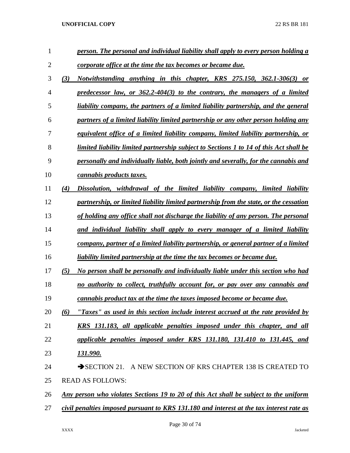| $\mathbf{1}$   |     | person. The personal and individual liability shall apply to every person holding a          |
|----------------|-----|----------------------------------------------------------------------------------------------|
| $\overline{2}$ |     | corporate office at the time the tax becomes or became due.                                  |
| 3              | (3) | Notwithstanding anything in this chapter, KRS 275.150, 362.1-306(3) or                       |
| 4              |     | predecessor law, or $362.2\n-404(3)$ to the contrary, the managers of a limited              |
| 5              |     | liability company, the partners of a limited liability partnership, and the general          |
| 6              |     | partners of a limited liability limited partnership or any other person holding any          |
| 7              |     | equivalent office of a limited liability company, limited liability partnership, or          |
| 8              |     | limited liability limited partnership subject to Sections 1 to 14 of this Act shall be       |
| 9              |     | personally and individually liable, both jointly and severally, for the cannabis and         |
| 10             |     | cannabis products taxes.                                                                     |
| 11             | (4) | Dissolution, withdrawal of the limited liability company, limited liability                  |
| 12             |     | partnership, or limited liability limited partnership from the state, or the cessation       |
| 13             |     | of holding any office shall not discharge the liability of any person. The personal          |
| 14             |     | and individual liability shall apply to every manager of a limited liability                 |
| 15             |     | company, partner of a limited liability partnership, or general partner of a limited         |
| 16             |     | liability limited partnership at the time the tax becomes or became due.                     |
| 17             | (5) | No person shall be personally and individually liable under this section who had             |
| 18             |     | no authority to collect, truthfully account for, or pay over any cannabis and                |
| 19             |     | cannabis product tax at the time the taxes imposed become or became due.                     |
| 20             | (6) | "Taxes" as used in this section include interest accrued at the rate provided by             |
| 21             |     | <u>KRS 131.183, all applicable penalties imposed under this chapter, and all</u>             |
| 22             |     | applicable penalties imposed under KRS 131.180, 131.410 to 131.445, and                      |
| 23             |     | 131.990.                                                                                     |
| 24             |     | SECTION 21. A NEW SECTION OF KRS CHAPTER 138 IS CREATED TO                                   |
| 25             |     | <b>READ AS FOLLOWS:</b>                                                                      |
| 26             |     | <u>Any person who violates Sections 19 to 20 of this Act shall be subject to the uniform</u> |
| 27             |     | civil penalties imposed pursuant to KRS 131.180 and interest at the tax interest rate as     |
|                |     |                                                                                              |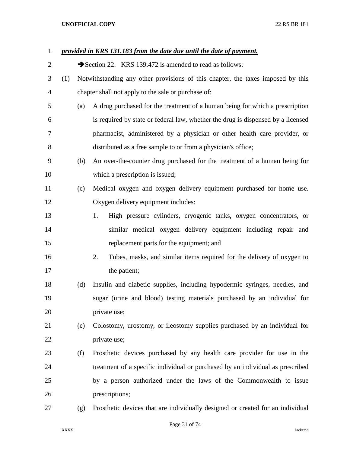| $\mathbf{1}$ |     |     | provided in KRS 131.183 from the date due until the date of payment.             |  |  |
|--------------|-----|-----|----------------------------------------------------------------------------------|--|--|
| 2            |     |     | Section 22. KRS 139.472 is amended to read as follows:                           |  |  |
| 3            | (1) |     | Notwithstanding any other provisions of this chapter, the taxes imposed by this  |  |  |
| 4            |     |     | chapter shall not apply to the sale or purchase of:                              |  |  |
| 5            |     | (a) | A drug purchased for the treatment of a human being for which a prescription     |  |  |
| 6            |     |     | is required by state or federal law, whether the drug is dispensed by a licensed |  |  |
| 7            |     |     | pharmacist, administered by a physician or other health care provider, or        |  |  |
| 8            |     |     | distributed as a free sample to or from a physician's office;                    |  |  |
| 9            |     | (b) | An over-the-counter drug purchased for the treatment of a human being for        |  |  |
| 10           |     |     | which a prescription is issued;                                                  |  |  |
| 11           |     | (c) | Medical oxygen and oxygen delivery equipment purchased for home use.             |  |  |
| 12           |     |     | Oxygen delivery equipment includes:                                              |  |  |
| 13           |     |     | High pressure cylinders, cryogenic tanks, oxygen concentrators, or<br>1.         |  |  |
| 14           |     |     | similar medical oxygen delivery equipment including repair and                   |  |  |
| 15           |     |     | replacement parts for the equipment; and                                         |  |  |
| 16           |     |     | Tubes, masks, and similar items required for the delivery of oxygen to<br>2.     |  |  |
| 17           |     |     | the patient;                                                                     |  |  |
| 18           |     | (d) | Insulin and diabetic supplies, including hypodermic syringes, needles, and       |  |  |
| 19           |     |     | sugar (urine and blood) testing materials purchased by an individual for         |  |  |
| 20           |     |     | private use;                                                                     |  |  |
| 21           |     | (e) | Colostomy, urostomy, or ileostomy supplies purchased by an individual for        |  |  |
| 22           |     |     | private use;                                                                     |  |  |
| 23           |     | (f) | Prosthetic devices purchased by any health care provider for use in the          |  |  |
| 24           |     |     | treatment of a specific individual or purchased by an individual as prescribed   |  |  |
| 25           |     |     | by a person authorized under the laws of the Commonwealth to issue               |  |  |
| 26           |     |     | prescriptions;                                                                   |  |  |
| 27           |     | (g) | Prosthetic devices that are individually designed or created for an individual   |  |  |

# Page 31 of 74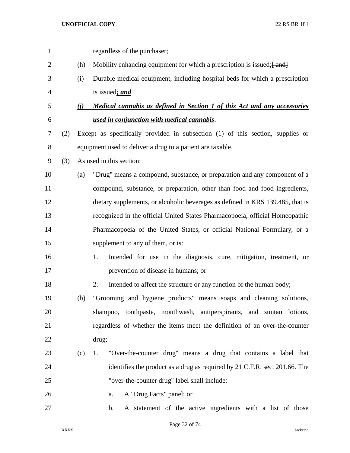| $\mathbf{1}$   |     |     | regardless of the purchaser;                                                   |
|----------------|-----|-----|--------------------------------------------------------------------------------|
| $\overline{2}$ |     | (h) | Mobility enhancing equipment for which a prescription is issued; [ and ]       |
| 3              |     | (i) | Durable medical equipment, including hospital beds for which a prescription    |
| 4              |     |     | is issued; and                                                                 |
| 5              |     | (i) | Medical cannabis as defined in Section 1 of this Act and any accessories       |
| 6              |     |     | used in conjunction with medical cannabis.                                     |
| 7              | (2) |     | Except as specifically provided in subsection (1) of this section, supplies or |
| $8\,$          |     |     | equipment used to deliver a drug to a patient are taxable.                     |
| 9              | (3) |     | As used in this section:                                                       |
| 10             |     | (a) | "Drug" means a compound, substance, or preparation and any component of a      |
| 11             |     |     | compound, substance, or preparation, other than food and food ingredients,     |
| 12             |     |     | dietary supplements, or alcoholic beverages as defined in KRS 139.485, that is |
| 13             |     |     | recognized in the official United States Pharmacopoeia, official Homeopathic   |
| 14             |     |     | Pharmacopoeia of the United States, or official National Formulary, or a       |
| 15             |     |     | supplement to any of them, or is:                                              |
| 16             |     |     | 1.<br>Intended for use in the diagnosis, cure, mitigation, treatment, or       |
| 17             |     |     | prevention of disease in humans; or                                            |
| 18             |     |     | 2.<br>Intended to affect the structure or any function of the human body;      |
| 19             |     | (b) | "Grooming and hygiene products" means soaps and cleaning solutions,            |
| 20             |     |     | shampoo, toothpaste, mouthwash, antiperspirants, and suntan lotions,           |
| 21             |     |     | regardless of whether the items meet the definition of an over-the-counter     |
| 22             |     |     | drug;                                                                          |
| 23             |     | (c) | "Over-the-counter drug" means a drug that contains a label that<br>1.          |
| 24             |     |     | identifies the product as a drug as required by 21 C.F.R. sec. 201.66. The     |
| 25             |     |     | "over-the-counter drug" label shall include:                                   |
| 26             |     |     | A "Drug Facts" panel; or<br>a.                                                 |
| 27             |     |     | A statement of the active ingredients with a list of those<br>b.               |

Page 32 of 74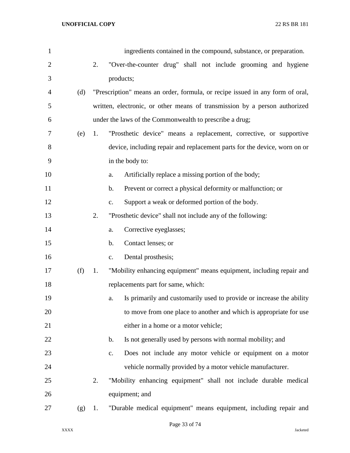| $\mathbf{1}$   |     |    | ingredients contained in the compound, substance, or preparation.             |
|----------------|-----|----|-------------------------------------------------------------------------------|
| $\overline{2}$ |     | 2. | "Over-the-counter drug" shall not include grooming and hygiene                |
| 3              |     |    | products;                                                                     |
| 4              | (d) |    | "Prescription" means an order, formula, or recipe issued in any form of oral, |
| 5              |     |    | written, electronic, or other means of transmission by a person authorized    |
| 6              |     |    | under the laws of the Commonwealth to prescribe a drug;                       |
| 7              | (e) | 1. | "Prosthetic device" means a replacement, corrective, or supportive            |
| 8              |     |    | device, including repair and replacement parts for the device, worn on or     |
| 9              |     |    | in the body to:                                                               |
| 10             |     |    | Artificially replace a missing portion of the body;<br>a.                     |
| 11             |     |    | Prevent or correct a physical deformity or malfunction; or<br>b.              |
| 12             |     |    | Support a weak or deformed portion of the body.<br>$\mathbf{c}$ .             |
| 13             |     | 2. | "Prosthetic device" shall not include any of the following:                   |
| 14             |     |    | Corrective eyeglasses;<br>a.                                                  |
| 15             |     |    | Contact lenses; or<br>b.                                                      |
| 16             |     |    | Dental prosthesis;<br>$C_{\bullet}$                                           |
| 17             | (f) | 1. | "Mobility enhancing equipment" means equipment, including repair and          |
| 18             |     |    | replacements part for same, which:                                            |
| 19             |     |    | Is primarily and customarily used to provide or increase the ability<br>a.    |
| 20             |     |    | to move from one place to another and which is appropriate for use            |
| 21             |     |    | either in a home or a motor vehicle;                                          |
| 22             |     |    | Is not generally used by persons with normal mobility; and<br>b.              |
| 23             |     |    | Does not include any motor vehicle or equipment on a motor<br>$\mathbf{c}$ .  |
| 24             |     |    | vehicle normally provided by a motor vehicle manufacturer.                    |
| 25             |     | 2. | "Mobility enhancing equipment" shall not include durable medical              |
| 26             |     |    | equipment; and                                                                |
| 27             | (g) | 1. | "Durable medical equipment" means equipment, including repair and             |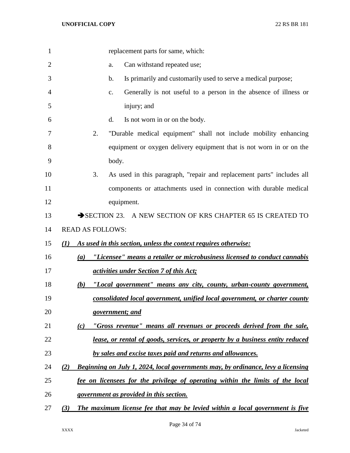| $\mathbf{1}$   | replacement parts for same, which:                                                      |
|----------------|-----------------------------------------------------------------------------------------|
|                |                                                                                         |
| $\overline{2}$ | Can withstand repeated use;<br>a.                                                       |
| 3              | Is primarily and customarily used to serve a medical purpose;<br>b.                     |
| 4              | Generally is not useful to a person in the absence of illness or<br>C.                  |
| 5              | injury; and                                                                             |
| 6              | Is not worn in or on the body.<br>d.                                                    |
| 7              | 2.<br>"Durable medical equipment" shall not include mobility enhancing                  |
| 8              | equipment or oxygen delivery equipment that is not worn in or on the                    |
| 9              | body.                                                                                   |
| 10             | 3.<br>As used in this paragraph, "repair and replacement parts" includes all            |
| 11             | components or attachments used in connection with durable medical                       |
| 12             | equipment.                                                                              |
| 13             | SECTION 23. A NEW SECTION OF KRS CHAPTER 65 IS CREATED TO                               |
| 14             | <b>READ AS FOLLOWS:</b>                                                                 |
| 15             | As used in this section, unless the context requires otherwise:<br>(1)                  |
| 16             | "Licensee" means a retailer or microbusiness licensed to conduct cannabis<br>(a)        |
| 17             | <i><u>activities under Section 7 of this Act;</u></i>                                   |
| 18             | "Local government" means any city, county, urban-county government,<br>(b)              |
| 19             | consolidated local government, unified local government, or charter county              |
| 20             | government; and                                                                         |
| 21             | "Gross revenue" means all revenues or proceeds derived from the sale,<br>(c)            |
| 22             | lease, or rental of goods, services, or property by a business entity reduced           |
| 23             | by sales and excise taxes paid and returns and allowances.                              |
| 24             | Beginning on July 1, 2024, local governments may, by ordinance, levy a licensing<br>(2) |
| 25             | fee on licensees for the privilege of operating within the limits of the local          |
| 26             | government as provided in this section.                                                 |
| 27             | The maximum license fee that may be levied within a local government is five<br>(3)     |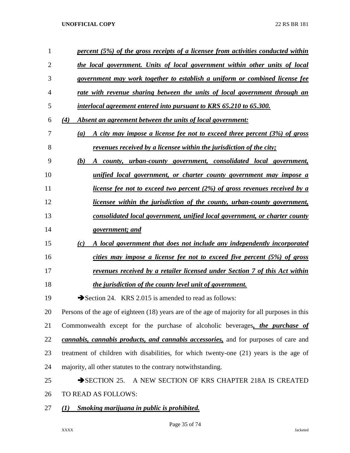| $\mathbf{1}$   | percent (5%) of the gross receipts of a licensee from activities conducted within             |
|----------------|-----------------------------------------------------------------------------------------------|
| $\overline{2}$ | the local government. Units of local government within other units of local                   |
| 3              | government may work together to establish a uniform or combined license fee                   |
| 4              | rate with revenue sharing between the units of local government through an                    |
| 5              | interlocal agreement entered into pursuant to KRS 65.210 to 65.300.                           |
| 6              | (4)<br>Absent an agreement between the units of local government:                             |
| 7              | A city may impose a license fee not to exceed three percent (3%) of gross<br>(a)              |
| 8              | revenues received by a licensee within the jurisdiction of the city;                          |
| 9              | (b)<br>A county, urban-county government, consolidated local government,                      |
| 10             | unified local government, or charter county government may impose a                           |
| 11             | license fee not to exceed two percent $(2\%)$ of gross revenues received by a                 |
| 12             | <i>licensee within the jurisdiction of the county, urban-county government,</i>               |
| 13             | consolidated local government, unified local government, or charter county                    |
| 14             | government; and                                                                               |
| 15             | A local government that does not include any independently incorporated<br>(c)                |
| 16             | cities may impose a license fee not to exceed five percent (5%) of gross                      |
| 17             | revenues received by a retailer licensed under Section 7 of this Act within                   |
| 18             | the jurisdiction of the county level unit of government.                                      |
| 19             | Section 24. KRS 2.015 is amended to read as follows:                                          |
| 20             | Persons of the age of eighteen (18) years are of the age of majority for all purposes in this |
| 21             | Commonwealth except for the purchase of alcoholic beverages, the purchase of                  |
| 22             | cannabis, cannabis products, and cannabis accessories, and for purposes of care and           |
| 23             | treatment of children with disabilities, for which twenty-one (21) years is the age of        |
| 24             | majority, all other statutes to the contrary notwithstanding.                                 |
| 25             | A NEW SECTION OF KRS CHAPTER 218A IS CREATED<br>$\rightarrow$ SECTION 25.                     |
| 26             | TO READ AS FOLLOWS:                                                                           |
| 27             | <b>Smoking marijuana in public is prohibited.</b><br>$\mathcal{L}(I)$                         |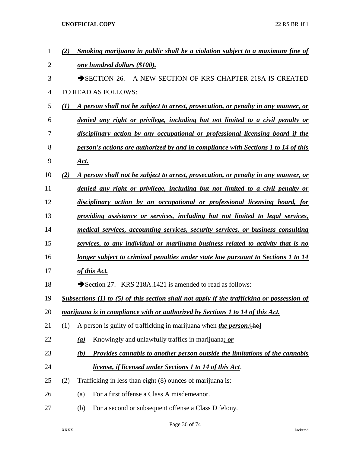| 1  | (2)      |                                                                                   | Smoking marijuana in public shall be a violation subject to a maximum fine of              |  |
|----|----------|-----------------------------------------------------------------------------------|--------------------------------------------------------------------------------------------|--|
| 2  |          |                                                                                   | <u>one hundred dollars (\$100).</u>                                                        |  |
| 3  |          |                                                                                   | $\rightarrow$ SECTION 26.<br>A NEW SECTION OF KRS CHAPTER 218A IS CREATED                  |  |
| 4  |          |                                                                                   | TO READ AS FOLLOWS:                                                                        |  |
| 5  | $\bf(1)$ |                                                                                   | A person shall not be subject to arrest, prosecution, or penalty in any manner, or         |  |
| 6  |          |                                                                                   | denied any right or privilege, including but not limited to a civil penalty or             |  |
| 7  |          |                                                                                   | disciplinary action by any occupational or professional licensing board if the             |  |
| 8  |          |                                                                                   | person's actions are authorized by and in compliance with Sections 1 to 14 of this         |  |
| 9  |          | <u>Act.</u>                                                                       |                                                                                            |  |
| 10 | (2)      |                                                                                   | A person shall not be subject to arrest, prosecution, or penalty in any manner, or         |  |
| 11 |          |                                                                                   | denied any right or privilege, including but not limited to a civil penalty or             |  |
| 12 |          |                                                                                   | disciplinary action by an occupational or professional licensing board, for                |  |
| 13 |          |                                                                                   | providing assistance or services, including but not limited to legal services,             |  |
| 14 |          |                                                                                   | medical services, accounting services, security services, or business consulting           |  |
| 15 |          |                                                                                   | services, to any individual or marijuana business related to activity that is no           |  |
| 16 |          | longer subject to criminal penalties under state law pursuant to Sections 1 to 14 |                                                                                            |  |
| 17 |          |                                                                                   | of this Act.                                                                               |  |
| 18 |          |                                                                                   | Section 27. KRS 218A.1421 is amended to read as follows:                                   |  |
| 19 |          |                                                                                   | Subsections (1) to (5) of this section shall not apply if the trafficking or possession of |  |
| 20 |          |                                                                                   | marijuana is in compliance with or authorized by Sections 1 to 14 of this Act.             |  |
| 21 | (1)      |                                                                                   | A person is guilty of trafficking in marijuana when <i>the person</i> : [he]               |  |
| 22 |          | $\left(\underline{a}\right)$                                                      | Knowingly and unlawfully traffics in marijuana; or                                         |  |
| 23 |          | (b)                                                                               | Provides cannabis to another person outside the limitations of the cannabis                |  |
| 24 |          |                                                                                   | <i>license, if licensed under Sections 1 to 14 of this Act.</i>                            |  |
| 25 | (2)      |                                                                                   | Trafficking in less than eight (8) ounces of marijuana is:                                 |  |
| 26 |          | (a)                                                                               | For a first offense a Class A misdemeanor.                                                 |  |
| 27 |          | (b)                                                                               | For a second or subsequent offense a Class D felony.                                       |  |
|    |          |                                                                                   |                                                                                            |  |

Page 36 of 74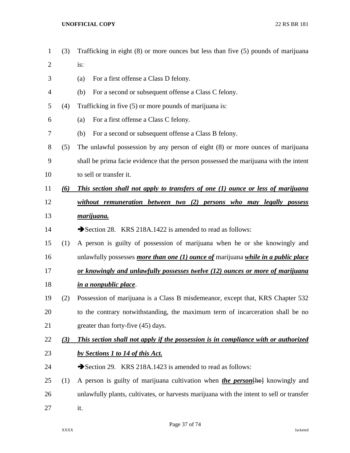- (3) Trafficking in eight (8) or more ounces but less than five (5) pounds of marijuana
- is:
- (a) For a first offense a Class D felony.
- (b) For a second or subsequent offense a Class C felony.
- (4) Trafficking in five (5) or more pounds of marijuana is:
- (a) For a first offense a Class C felony.
- (b) For a second or subsequent offense a Class B felony.
- (5) The unlawful possession by any person of eight (8) or more ounces of marijuana
- shall be prima facie evidence that the person possessed the marijuana with the intent to sell or transfer it.
- *(6) This section shall not apply to transfers of one (1) ounce or less of marijuana without remuneration between two (2) persons who may legally possess*
- *marijuana.*
- 14 Section 28. KRS 218A.1422 is amended to read as follows:
- (1) A person is guilty of possession of marijuana when he or she knowingly and unlawfully possesses *more than one (1) ounce of* marijuana *while in a public place*
- *or knowingly and unlawfully possesses twelve (12) ounces or more of marijuana in a nonpublic place*.
- (2) Possession of marijuana is a Class B misdemeanor, except that, KRS Chapter 532 to the contrary notwithstanding, the maximum term of incarceration shall be no 21 greater than forty-five (45) days.
- *(3) This section shall not apply if the possession is in compliance with or authorized by Sections 1 to 14 of this Act.*
- 24 Section 29. KRS 218A.1423 is amended to read as follows:
- (1) A person is guilty of marijuana cultivation when *the person*[he] knowingly and unlawfully plants, cultivates, or harvests marijuana with the intent to sell or transfer it.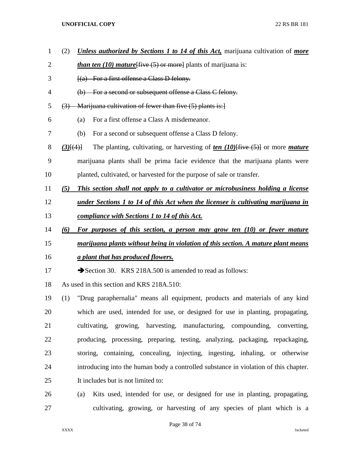- (2) *Unless authorized by Sections 1 to 14 of this Act,* marijuana cultivation of *more than ten (10) mature* (*five* (5) or morel plants of marijuana is: 3 [(a) For a first offense a Class D felony. (b) For a second or subsequent offense a Class C felony. (3) Marijuana cultivation of fewer than five (5) plants is:] (a) For a first offense a Class A misdemeanor. (b) For a second or subsequent offense a Class D felony. *(3)*[(4)] The planting, cultivating, or harvesting of *ten (10)*[five (5)] or more *mature* marijuana plants shall be prima facie evidence that the marijuana plants were planted, cultivated, or harvested for the purpose of sale or transfer. *(5) This section shall not apply to a cultivator or microbusiness holding a license under Sections 1 to 14 of this Act when the licensee is cultivating marijuana in compliance with Sections 1 to 14 of this Act. (6) For purposes of this section, a person may grow ten (10) or fewer mature marijuana plants without being in violation of this section. A mature plant means a plant that has produced flowers.*  17 Section 30. KRS 218A.500 is amended to read as follows: As used in this section and KRS 218A.510:
- (1) "Drug paraphernalia" means all equipment, products and materials of any kind which are used, intended for use, or designed for use in planting, propagating, cultivating, growing, harvesting, manufacturing, compounding, converting, producing, processing, preparing, testing, analyzing, packaging, repackaging, storing, containing, concealing, injecting, ingesting, inhaling, or otherwise introducing into the human body a controlled substance in violation of this chapter. It includes but is not limited to:
- (a) Kits used, intended for use, or designed for use in planting, propagating, cultivating, growing, or harvesting of any species of plant which is a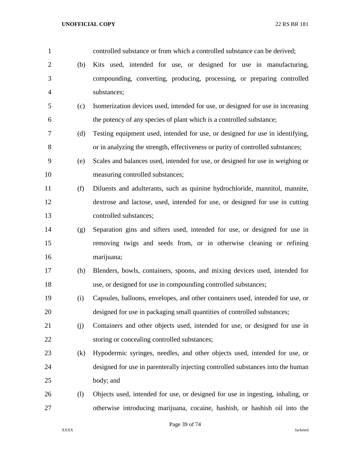| $\mathbf{1}$   |     | controlled substance or from which a controlled substance can be derived;       |
|----------------|-----|---------------------------------------------------------------------------------|
| $\overline{2}$ | (b) | Kits used, intended for use, or designed for use in manufacturing,              |
| 3              |     | compounding, converting, producing, processing, or preparing controlled         |
| $\overline{4}$ |     | substances;                                                                     |
| 5              | (c) | Isomerization devices used, intended for use, or designed for use in increasing |
| 6              |     | the potency of any species of plant which is a controlled substance;            |
| 7              | (d) | Testing equipment used, intended for use, or designed for use in identifying,   |
| $8\,$          |     | or in analyzing the strength, effectiveness or purity of controlled substances; |
| 9              | (e) | Scales and balances used, intended for use, or designed for use in weighing or  |
| 10             |     | measuring controlled substances;                                                |
| 11             | (f) | Diluents and adulterants, such as quinine hydrochloride, mannitol, mannite,     |
| 12             |     | dextrose and lactose, used, intended for use, or designed for use in cutting    |
| 13             |     | controlled substances;                                                          |
| 14             | (g) | Separation gins and sifters used, intended for use, or designed for use in      |
| 15             |     | removing twigs and seeds from, or in otherwise cleaning or refining             |
| 16             |     | marijuana;                                                                      |
| 17             | (h) | Blenders, bowls, containers, spoons, and mixing devices used, intended for      |
| 18             |     | use, or designed for use in compounding controlled substances;                  |
| 19             | (i) | Capsules, balloons, envelopes, and other containers used, intended for use, or  |
| 20             |     | designed for use in packaging small quantities of controlled substances;        |
| 21             | (j) | Containers and other objects used, intended for use, or designed for use in     |
| 22             |     | storing or concealing controlled substances;                                    |
| 23             | (k) | Hypodermic syringes, needles, and other objects used, intended for use, or      |
| 24             |     | designed for use in parenterally injecting controlled substances into the human |
| 25             |     | body; and                                                                       |
| 26             | (1) | Objects used, intended for use, or designed for use in ingesting, inhaling, or  |
| 27             |     | otherwise introducing marijuana, cocaine, hashish, or hashish oil into the      |

Page 39 of 74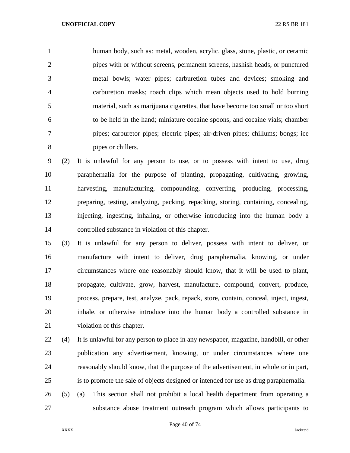human body, such as: metal, wooden, acrylic, glass, stone, plastic, or ceramic pipes with or without screens, permanent screens, hashish heads, or punctured metal bowls; water pipes; carburetion tubes and devices; smoking and carburetion masks; roach clips which mean objects used to hold burning material, such as marijuana cigarettes, that have become too small or too short to be held in the hand; miniature cocaine spoons, and cocaine vials; chamber pipes; carburetor pipes; electric pipes; air-driven pipes; chillums; bongs; ice pipes or chillers.

 (2) It is unlawful for any person to use, or to possess with intent to use, drug paraphernalia for the purpose of planting, propagating, cultivating, growing, harvesting, manufacturing, compounding, converting, producing, processing, preparing, testing, analyzing, packing, repacking, storing, containing, concealing, injecting, ingesting, inhaling, or otherwise introducing into the human body a controlled substance in violation of this chapter.

 (3) It is unlawful for any person to deliver, possess with intent to deliver, or manufacture with intent to deliver, drug paraphernalia, knowing, or under circumstances where one reasonably should know, that it will be used to plant, propagate, cultivate, grow, harvest, manufacture, compound, convert, produce, process, prepare, test, analyze, pack, repack, store, contain, conceal, inject, ingest, inhale, or otherwise introduce into the human body a controlled substance in violation of this chapter.

 (4) It is unlawful for any person to place in any newspaper, magazine, handbill, or other publication any advertisement, knowing, or under circumstances where one reasonably should know, that the purpose of the advertisement, in whole or in part, is to promote the sale of objects designed or intended for use as drug paraphernalia.

 (5) (a) This section shall not prohibit a local health department from operating a substance abuse treatment outreach program which allows participants to

Page 40 of 74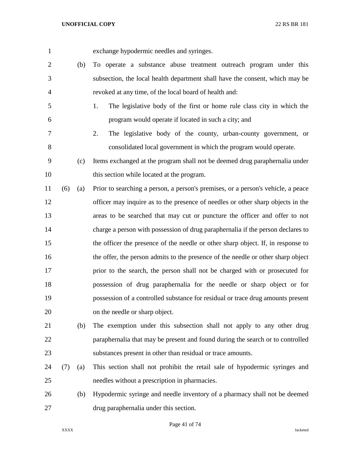exchange hypodermic needles and syringes.

- (b) To operate a substance abuse treatment outreach program under this subsection, the local health department shall have the consent, which may be revoked at any time, of the local board of health and:
- 1. The legislative body of the first or home rule class city in which the program would operate if located in such a city; and
- 2. The legislative body of the county, urban-county government, or consolidated local government in which the program would operate.
- (c) Items exchanged at the program shall not be deemed drug paraphernalia under this section while located at the program.
- (6) (a) Prior to searching a person, a person's premises, or a person's vehicle, a peace officer may inquire as to the presence of needles or other sharp objects in the areas to be searched that may cut or puncture the officer and offer to not charge a person with possession of drug paraphernalia if the person declares to the officer the presence of the needle or other sharp object. If, in response to the offer, the person admits to the presence of the needle or other sharp object prior to the search, the person shall not be charged with or prosecuted for possession of drug paraphernalia for the needle or sharp object or for possession of a controlled substance for residual or trace drug amounts present on the needle or sharp object.
- (b) The exemption under this subsection shall not apply to any other drug paraphernalia that may be present and found during the search or to controlled substances present in other than residual or trace amounts.
- (7) (a) This section shall not prohibit the retail sale of hypodermic syringes and needles without a prescription in pharmacies.
- (b) Hypodermic syringe and needle inventory of a pharmacy shall not be deemed drug paraphernalia under this section.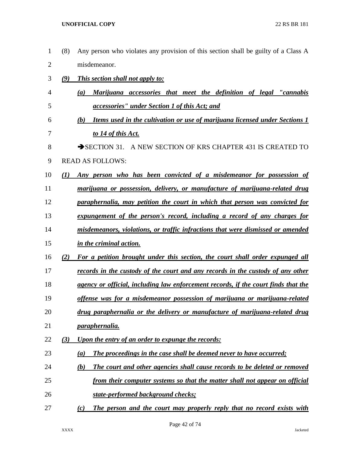(8) Any person who violates any provision of this section shall be guilty of a Class A misdemeanor. *(9) This section shall not apply to: (a) Marijuana accessories that meet the definition of legal "cannabis accessories" under Section 1 of this Act; and (b) Items used in the cultivation or use of marijuana licensed under Sections 1 to 14 of this Act.* 8 SECTION 31. A NEW SECTION OF KRS CHAPTER 431 IS CREATED TO READ AS FOLLOWS: *(1) Any person who has been convicted of a misdemeanor for possession of marijuana or possession, delivery, or manufacture of marijuana-related drug paraphernalia, may petition the court in which that person was convicted for expungement of the person's record, including a record of any charges for misdemeanors, violations, or traffic infractions that were dismissed or amended in the criminal action. (2) For a petition brought under this section, the court shall order expunged all records in the custody of the court and any records in the custody of any other agency or official, including law enforcement records, if the court finds that the offense was for a misdemeanor possession of marijuana or marijuana-related drug paraphernalia or the delivery or manufacture of marijuana-related drug paraphernalia. (3) Upon the entry of an order to expunge the records: (a) The proceedings in the case shall be deemed never to have occurred; (b) The court and other agencies shall cause records to be deleted or removed from their computer systems so that the matter shall not appear on official state-performed background checks; (c) The person and the court may properly reply that no record exists with*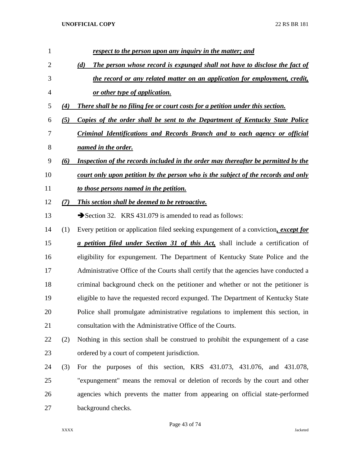| $\mathbf{1}$ |     | respect to the person upon any inquiry in the matter; and                                |
|--------------|-----|------------------------------------------------------------------------------------------|
| 2            |     | The person whose record is expunged shall not have to disclose the fact of<br>(d)        |
| 3            |     | the record or any related matter on an application for employment, credit,               |
| 4            |     | or other type of application.                                                            |
| 5            | (4) | <b>There shall be no filing fee or court costs for a petition under this section.</b>    |
| 6            | (5) | Copies of the order shall be sent to the Department of Kentucky State Police             |
| 7            |     | <u>Criminal Identifications and Records Branch and to each agency or official</u>        |
| 8            |     | named in the order.                                                                      |
| 9            | (6) | Inspection of the records included in the order may thereafter be permitted by the       |
| 10           |     | <u>court only upon petition by the person who is the subject of the records and only</u> |
| 11           |     | to those persons named in the petition.                                                  |
| 12           | (7) | This section shall be deemed to be retroactive.                                          |
| 13           |     | Section 32. KRS 431.079 is amended to read as follows:                                   |
| 14           | (1) | Every petition or application filed seeking expungement of a conviction, except for      |
| 15           |     | <i>a petition filed under Section 31 of this Act</i> , shall include a certification of  |
| 16           |     | eligibility for expungement. The Department of Kentucky State Police and the             |
| 17           |     | Administrative Office of the Courts shall certify that the agencies have conducted a     |
| 18           |     | criminal background check on the petitioner and whether or not the petitioner is         |
| 19           |     | eligible to have the requested record expunged. The Department of Kentucky State         |
| 20           |     | Police shall promulgate administrative regulations to implement this section, in         |
| 21           |     | consultation with the Administrative Office of the Courts.                               |
| 22           | (2) | Nothing in this section shall be construed to prohibit the expungement of a case         |
| 23           |     | ordered by a court of competent jurisdiction.                                            |
| 24           | (3) | For the purposes of this section, KRS 431.073, 431.076, and 431.078,                     |
| 25           |     | "expungement" means the removal or deletion of records by the court and other            |
| 26           |     | agencies which prevents the matter from appearing on official state-performed            |
| 27           |     | background checks.                                                                       |

Page 43 of 74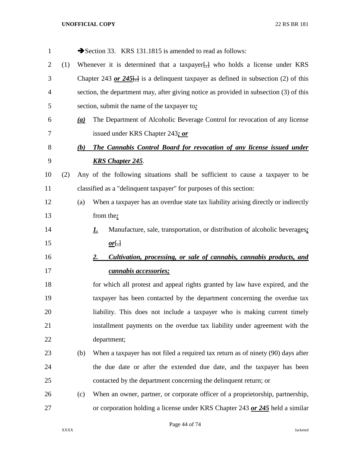| $\mathbf{1}$   |     |     | Section 33. KRS 131.1815 is amended to read as follows:                                 |
|----------------|-----|-----|-----------------------------------------------------------------------------------------|
| $\overline{2}$ | (1) |     | Whenever it is determined that a taxpayer $\frac{1}{2}$ who holds a license under KRS   |
| 3              |     |     | Chapter 243 or 245. is a delinquent taxpayer as defined in subsection (2) of this       |
| 4              |     |     | section, the department may, after giving notice as provided in subsection (3) of this  |
| 5              |     |     | section, submit the name of the taxpayer to:                                            |
| 6              |     | (a) | The Department of Alcoholic Beverage Control for revocation of any license              |
| 7              |     |     | issued under KRS Chapter 243; or                                                        |
| 8              |     | (b) | The Cannabis Control Board for revocation of any license issued under                   |
| 9              |     |     | <b>KRS Chapter 245.</b>                                                                 |
| 10             | (2) |     | Any of the following situations shall be sufficient to cause a taxpayer to be           |
| 11             |     |     | classified as a "delinquent taxpayer" for purposes of this section:                     |
| 12             |     | (a) | When a taxpayer has an overdue state tax liability arising directly or indirectly       |
| 13             |     |     | from the:                                                                               |
| 14             |     |     | Manufacture, sale, transportation, or distribution of alcoholic beverages;<br><u>L.</u> |
| 15             |     |     | <u>or</u> $\frac{1}{2}$                                                                 |
| 16             |     |     | Cultivation, processing, or sale of cannabis, cannabis products, and<br>2.              |
| 17             |     |     | <u>cannabis accessories;</u>                                                            |
| 18             |     |     | for which all protest and appeal rights granted by law have expired, and the            |
| 19             |     |     | taxpayer has been contacted by the department concerning the overdue tax                |
| 20             |     |     | liability. This does not include a taxpayer who is making current timely                |
| 21             |     |     | installment payments on the overdue tax liability under agreement with the              |
| 22             |     |     | department;                                                                             |
| 23             |     | (b) | When a taxpayer has not filed a required tax return as of ninety (90) days after        |
| 24             |     |     | the due date or after the extended due date, and the taxpayer has been                  |
| 25             |     |     | contacted by the department concerning the delinquent return; or                        |
| 26             |     | (c) | When an owner, partner, or corporate officer of a proprietorship, partnership,          |
| 27             |     |     | or corporation holding a license under KRS Chapter 243 or 245 held a similar            |

Page 44 of 74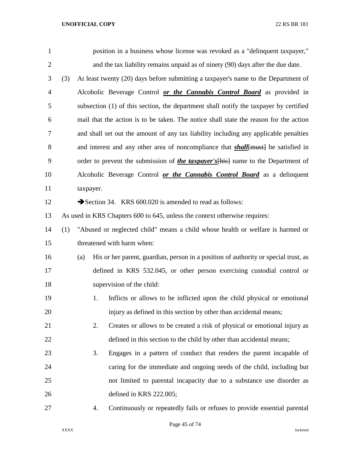| $\mathbf{1}$ |     |     |           | position in a business whose license was revoked as a "delinquent taxpayer,"              |
|--------------|-----|-----|-----------|-------------------------------------------------------------------------------------------|
| $\mathbf{2}$ |     |     |           | and the tax liability remains unpaid as of ninety (90) days after the due date.           |
| 3            | (3) |     |           | At least twenty (20) days before submitting a taxpayer's name to the Department of        |
| 4            |     |     |           | Alcoholic Beverage Control or the Cannabis Control Board as provided in                   |
| 5            |     |     |           | subsection (1) of this section, the department shall notify the taxpayer by certified     |
| 6            |     |     |           | mail that the action is to be taken. The notice shall state the reason for the action     |
| 7            |     |     |           | and shall set out the amount of any tax liability including any applicable penalties      |
| 8            |     |     |           | and interest and any other area of noncompliance that <i>shall</i> [must] be satisfied in |
| 9            |     |     |           | order to prevent the submission of <i>the taxpayer's</i> [his] name to the Department of  |
| 10           |     |     |           | Alcoholic Beverage Control or the Cannabis Control Board as a delinquent                  |
| 11           |     |     | taxpayer. |                                                                                           |
| 12           |     |     |           | Section 34. KRS 600.020 is amended to read as follows:                                    |
| 13           |     |     |           | As used in KRS Chapters 600 to 645, unless the context otherwise requires:                |
| 14           | (1) |     |           | "Abused or neglected child" means a child whose health or welfare is harmed or            |
| 15           |     |     |           | threatened with harm when:                                                                |
| 16           |     | (a) |           | His or her parent, guardian, person in a position of authority or special trust, as       |
| 17           |     |     |           | defined in KRS 532.045, or other person exercising custodial control or                   |
| 18           |     |     |           | supervision of the child:                                                                 |
| 19           |     |     | 1.        | Inflicts or allows to be inflicted upon the child physical or emotional                   |
| 20           |     |     |           | injury as defined in this section by other than accidental means;                         |
| 21           |     |     | 2.        | Creates or allows to be created a risk of physical or emotional injury as                 |
| 22           |     |     |           | defined in this section to the child by other than accidental means;                      |
| 23           |     |     | 3.        | Engages in a pattern of conduct that renders the parent incapable of                      |
| 24           |     |     |           | caring for the immediate and ongoing needs of the child, including but                    |
| 25           |     |     |           | not limited to parental incapacity due to a substance use disorder as                     |
| 26           |     |     |           | defined in KRS 222.005;                                                                   |
| 27           |     |     | 4.        | Continuously or repeatedly fails or refuses to provide essential parental                 |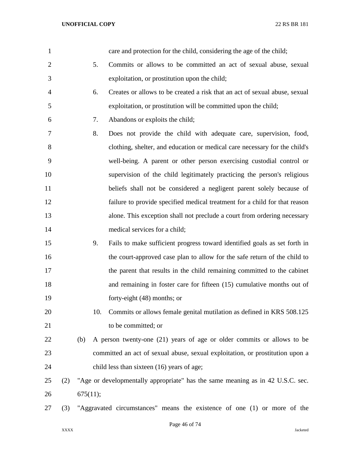| $\mathbf{1}$   |     |                                                                          |     | care and protection for the child, considering the age of the child;           |  |  |
|----------------|-----|--------------------------------------------------------------------------|-----|--------------------------------------------------------------------------------|--|--|
| $\overline{2}$ |     |                                                                          | 5.  | Commits or allows to be committed an act of sexual abuse, sexual               |  |  |
| 3              |     |                                                                          |     | exploitation, or prostitution upon the child;                                  |  |  |
| 4              |     |                                                                          | 6.  | Creates or allows to be created a risk that an act of sexual abuse, sexual     |  |  |
| 5              |     |                                                                          |     | exploitation, or prostitution will be committed upon the child;                |  |  |
| 6              |     |                                                                          | 7.  | Abandons or exploits the child;                                                |  |  |
| 7              |     |                                                                          | 8.  | Does not provide the child with adequate care, supervision, food,              |  |  |
| 8              |     |                                                                          |     | clothing, shelter, and education or medical care necessary for the child's     |  |  |
| 9              |     |                                                                          |     | well-being. A parent or other person exercising custodial control or           |  |  |
| 10             |     |                                                                          |     | supervision of the child legitimately practicing the person's religious        |  |  |
| 11             |     |                                                                          |     | beliefs shall not be considered a negligent parent solely because of           |  |  |
| 12             |     |                                                                          |     | failure to provide specified medical treatment for a child for that reason     |  |  |
| 13             |     |                                                                          |     | alone. This exception shall not preclude a court from ordering necessary       |  |  |
| 14             |     |                                                                          |     | medical services for a child;                                                  |  |  |
| 15             |     |                                                                          | 9.  | Fails to make sufficient progress toward identified goals as set forth in      |  |  |
| 16             |     |                                                                          |     | the court-approved case plan to allow for the safe return of the child to      |  |  |
| 17             |     |                                                                          |     | the parent that results in the child remaining committed to the cabinet        |  |  |
| 18             |     |                                                                          |     | and remaining in foster care for fifteen $(15)$ cumulative months out of       |  |  |
| 19             |     |                                                                          |     | forty-eight $(48)$ months; or                                                  |  |  |
| 20             |     |                                                                          | 10. | Commits or allows female genital mutilation as defined in KRS 508.125          |  |  |
| 21             |     |                                                                          |     | to be committed; or                                                            |  |  |
| 22             |     | (b)                                                                      |     | A person twenty-one (21) years of age or older commits or allows to be         |  |  |
| 23             |     |                                                                          |     | committed an act of sexual abuse, sexual exploitation, or prostitution upon a  |  |  |
| 24             |     |                                                                          |     | child less than sixteen (16) years of age;                                     |  |  |
| 25             | (2) |                                                                          |     | "Age or developmentally appropriate" has the same meaning as in 42 U.S.C. sec. |  |  |
| 26             |     | 675(11);                                                                 |     |                                                                                |  |  |
| 27             | (3) | "Aggravated circumstances" means the existence of one (1) or more of the |     |                                                                                |  |  |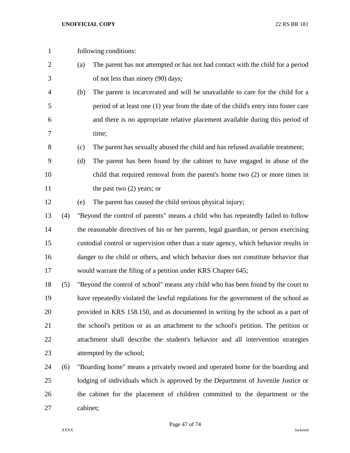- following conditions:
- (a) The parent has not attempted or has not had contact with the child for a period of not less than ninety (90) days;
- (b) The parent is incarcerated and will be unavailable to care for the child for a period of at least one (1) year from the date of the child's entry into foster care and there is no appropriate relative placement available during this period of time;
- (c) The parent has sexually abused the child and has refused available treatment;
- (d) The parent has been found by the cabinet to have engaged in abuse of the child that required removal from the parent's home two (2) or more times in 11 the past two (2) years; or
- (e) The parent has caused the child serious physical injury;
- (4) "Beyond the control of parents" means a child who has repeatedly failed to follow 14 the reasonable directives of his or her parents, legal guardian, or person exercising custodial control or supervision other than a state agency, which behavior results in danger to the child or others, and which behavior does not constitute behavior that would warrant the filing of a petition under KRS Chapter 645;
- (5) "Beyond the control of school" means any child who has been found by the court to have repeatedly violated the lawful regulations for the government of the school as provided in KRS 158.150, and as documented in writing by the school as a part of the school's petition or as an attachment to the school's petition. The petition or attachment shall describe the student's behavior and all intervention strategies attempted by the school;
- (6) "Boarding home" means a privately owned and operated home for the boarding and lodging of individuals which is approved by the Department of Juvenile Justice or the cabinet for the placement of children committed to the department or the cabinet;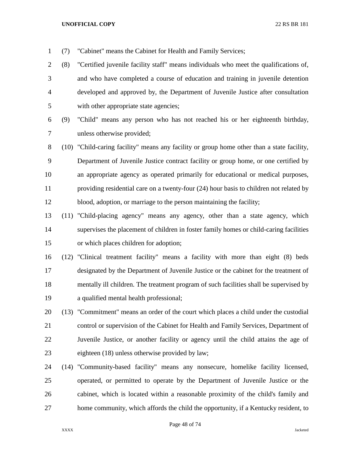(7) "Cabinet" means the Cabinet for Health and Family Services;

 (8) "Certified juvenile facility staff" means individuals who meet the qualifications of, and who have completed a course of education and training in juvenile detention developed and approved by, the Department of Juvenile Justice after consultation with other appropriate state agencies;

 (9) "Child" means any person who has not reached his or her eighteenth birthday, unless otherwise provided;

 (10) "Child-caring facility" means any facility or group home other than a state facility, Department of Juvenile Justice contract facility or group home, or one certified by an appropriate agency as operated primarily for educational or medical purposes, providing residential care on a twenty-four (24) hour basis to children not related by blood, adoption, or marriage to the person maintaining the facility;

 (11) "Child-placing agency" means any agency, other than a state agency, which supervises the placement of children in foster family homes or child-caring facilities or which places children for adoption;

 (12) "Clinical treatment facility" means a facility with more than eight (8) beds designated by the Department of Juvenile Justice or the cabinet for the treatment of mentally ill children. The treatment program of such facilities shall be supervised by a qualified mental health professional;

 (13) "Commitment" means an order of the court which places a child under the custodial control or supervision of the Cabinet for Health and Family Services, Department of Juvenile Justice, or another facility or agency until the child attains the age of eighteen (18) unless otherwise provided by law;

 (14) "Community-based facility" means any nonsecure, homelike facility licensed, operated, or permitted to operate by the Department of Juvenile Justice or the cabinet, which is located within a reasonable proximity of the child's family and home community, which affords the child the opportunity, if a Kentucky resident, to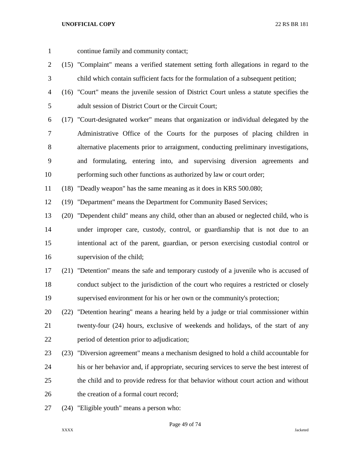- continue family and community contact;
- (15) "Complaint" means a verified statement setting forth allegations in regard to the child which contain sufficient facts for the formulation of a subsequent petition;
- (16) "Court" means the juvenile session of District Court unless a statute specifies the adult session of District Court or the Circuit Court;
- (17) "Court-designated worker" means that organization or individual delegated by the Administrative Office of the Courts for the purposes of placing children in alternative placements prior to arraignment, conducting preliminary investigations, and formulating, entering into, and supervising diversion agreements and performing such other functions as authorized by law or court order;

(18) "Deadly weapon" has the same meaning as it does in KRS 500.080;

(19) "Department" means the Department for Community Based Services;

- (20) "Dependent child" means any child, other than an abused or neglected child, who is under improper care, custody, control, or guardianship that is not due to an intentional act of the parent, guardian, or person exercising custodial control or supervision of the child;
- (21) "Detention" means the safe and temporary custody of a juvenile who is accused of conduct subject to the jurisdiction of the court who requires a restricted or closely supervised environment for his or her own or the community's protection;
- (22) "Detention hearing" means a hearing held by a judge or trial commissioner within twenty-four (24) hours, exclusive of weekends and holidays, of the start of any period of detention prior to adjudication;
- (23) "Diversion agreement" means a mechanism designed to hold a child accountable for his or her behavior and, if appropriate, securing services to serve the best interest of the child and to provide redress for that behavior without court action and without 26 the creation of a formal court record:
- (24) "Eligible youth" means a person who: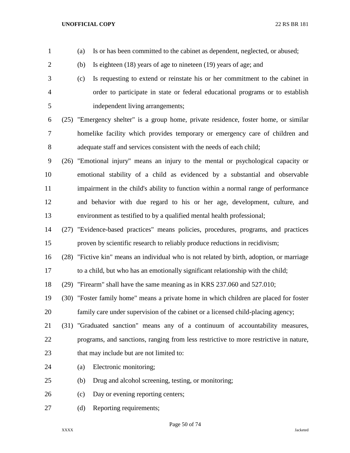(b) Is eighteen (18) years of age to nineteen (19) years of age; and (c) Is requesting to extend or reinstate his or her commitment to the cabinet in order to participate in state or federal educational programs or to establish independent living arrangements; (25) "Emergency shelter" is a group home, private residence, foster home, or similar homelike facility which provides temporary or emergency care of children and adequate staff and services consistent with the needs of each child; (26) "Emotional injury" means an injury to the mental or psychological capacity or emotional stability of a child as evidenced by a substantial and observable impairment in the child's ability to function within a normal range of performance and behavior with due regard to his or her age, development, culture, and environment as testified to by a qualified mental health professional; (27) "Evidence-based practices" means policies, procedures, programs, and practices proven by scientific research to reliably produce reductions in recidivism; (28) "Fictive kin" means an individual who is not related by birth, adoption, or marriage to a child, but who has an emotionally significant relationship with the child; (29) "Firearm" shall have the same meaning as in KRS 237.060 and 527.010; (30) "Foster family home" means a private home in which children are placed for foster family care under supervision of the cabinet or a licensed child-placing agency; (31) "Graduated sanction" means any of a continuum of accountability measures, programs, and sanctions, ranging from less restrictive to more restrictive in nature, 23 that may include but are not limited to: (a) Electronic monitoring; (b) Drug and alcohol screening, testing, or monitoring; (c) Day or evening reporting centers; 27 (d) Reporting requirements;

(a) Is or has been committed to the cabinet as dependent, neglected, or abused;

Page 50 of 74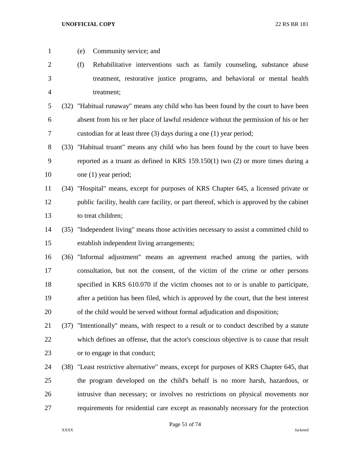(e) Community service; and (f) Rehabilitative interventions such as family counseling, substance abuse treatment, restorative justice programs, and behavioral or mental health treatment; (32) "Habitual runaway" means any child who has been found by the court to have been absent from his or her place of lawful residence without the permission of his or her custodian for at least three (3) days during a one (1) year period; (33) "Habitual truant" means any child who has been found by the court to have been reported as a truant as defined in KRS 159.150(1) two (2) or more times during a 10 one (1) year period; (34) "Hospital" means, except for purposes of KRS Chapter 645, a licensed private or public facility, health care facility, or part thereof, which is approved by the cabinet to treat children; (35) "Independent living" means those activities necessary to assist a committed child to establish independent living arrangements; (36) "Informal adjustment" means an agreement reached among the parties, with consultation, but not the consent, of the victim of the crime or other persons specified in KRS 610.070 if the victim chooses not to or is unable to participate, after a petition has been filed, which is approved by the court, that the best interest of the child would be served without formal adjudication and disposition; (37) "Intentionally" means, with respect to a result or to conduct described by a statute which defines an offense, that the actor's conscious objective is to cause that result or to engage in that conduct; (38) "Least restrictive alternative" means, except for purposes of KRS Chapter 645, that the program developed on the child's behalf is no more harsh, hazardous, or intrusive than necessary; or involves no restrictions on physical movements nor requirements for residential care except as reasonably necessary for the protection

Page 51 of 74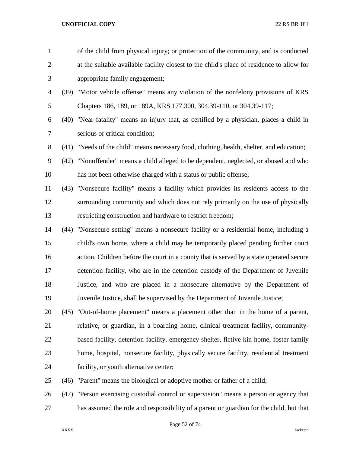| $\mathbf{1}$   |      | of the child from physical injury; or protection of the community, and is conducted       |
|----------------|------|-------------------------------------------------------------------------------------------|
| $\overline{2}$ |      | at the suitable available facility closest to the child's place of residence to allow for |
| 3              |      | appropriate family engagement;                                                            |
| $\overline{4}$ |      | (39) "Motor vehicle offense" means any violation of the nonfelony provisions of KRS       |
| 5              |      | Chapters 186, 189, or 189A, KRS 177.300, 304.39-110, or 304.39-117;                       |
| 6              |      | (40) "Near fatality" means an injury that, as certified by a physician, places a child in |
| $\tau$         |      | serious or critical condition;                                                            |
| $8\,$          |      | (41) "Needs of the child" means necessary food, clothing, health, shelter, and education; |
| $\mathbf{9}$   | (42) | "Nonoffender" means a child alleged to be dependent, neglected, or abused and who         |
| 10             |      | has not been otherwise charged with a status or public offense;                           |
| 11             |      | (43) "Nonsecure facility" means a facility which provides its residents access to the     |
| 12             |      | surrounding community and which does not rely primarily on the use of physically          |
| 13             |      | restricting construction and hardware to restrict freedom;                                |
| 14             |      | (44) "Nonsecure setting" means a nonsecure facility or a residential home, including a    |
| 15             |      | child's own home, where a child may be temporarily placed pending further court           |
| 16             |      | action. Children before the court in a county that is served by a state operated secure   |
| 17             |      | detention facility, who are in the detention custody of the Department of Juvenile        |
| 18             |      | Justice, and who are placed in a nonsecure alternative by the Department of               |
| 19             |      | Juvenile Justice, shall be supervised by the Department of Juvenile Justice;              |
| 20             |      | (45) "Out-of-home placement" means a placement other than in the home of a parent,        |
| 21             |      | relative, or guardian, in a boarding home, clinical treatment facility, community-        |
| 22             |      | based facility, detention facility, emergency shelter, fictive kin home, foster family    |
| 23             |      | home, hospital, nonsecure facility, physically secure facility, residential treatment     |
| 24             |      | facility, or youth alternative center;                                                    |
| 25             |      | (46) "Parent" means the biological or adoptive mother or father of a child;               |
| 26             | (47) | "Person exercising custodial control or supervision" means a person or agency that        |

has assumed the role and responsibility of a parent or guardian for the child, but that

Page 52 of 74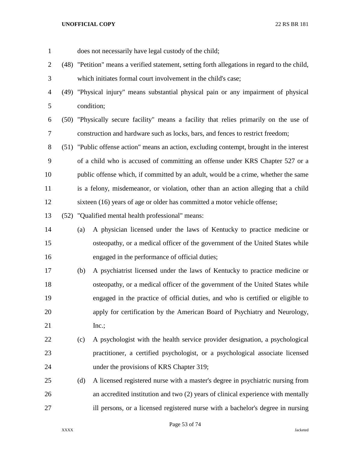| $\mathbf{1}$   |     | does not necessarily have legal custody of the child;                                         |  |  |  |  |  |  |
|----------------|-----|-----------------------------------------------------------------------------------------------|--|--|--|--|--|--|
| $\overline{c}$ |     | (48) "Petition" means a verified statement, setting forth allegations in regard to the child, |  |  |  |  |  |  |
| 3              |     | which initiates formal court involvement in the child's case;                                 |  |  |  |  |  |  |
| 4              |     | (49) "Physical injury" means substantial physical pain or any impairment of physical          |  |  |  |  |  |  |
| 5              |     | condition;                                                                                    |  |  |  |  |  |  |
| 6              |     | (50) "Physically secure facility" means a facility that relies primarily on the use of        |  |  |  |  |  |  |
| 7              |     | construction and hardware such as locks, bars, and fences to restrict freedom;                |  |  |  |  |  |  |
| 8              |     | (51) "Public offense action" means an action, excluding contempt, brought in the interest     |  |  |  |  |  |  |
| 9              |     | of a child who is accused of committing an offense under KRS Chapter 527 or a                 |  |  |  |  |  |  |
| 10             |     | public offense which, if committed by an adult, would be a crime, whether the same            |  |  |  |  |  |  |
| 11             |     | is a felony, misdemeanor, or violation, other than an action alleging that a child            |  |  |  |  |  |  |
| 12             |     | sixteen (16) years of age or older has committed a motor vehicle offense;                     |  |  |  |  |  |  |
| 13             |     | (52) "Qualified mental health professional" means:                                            |  |  |  |  |  |  |
| 14             | (a) | A physician licensed under the laws of Kentucky to practice medicine or                       |  |  |  |  |  |  |
| 15             |     | osteopathy, or a medical officer of the government of the United States while                 |  |  |  |  |  |  |
| 16             |     | engaged in the performance of official duties;                                                |  |  |  |  |  |  |
| 17             | (b) | A psychiatrist licensed under the laws of Kentucky to practice medicine or                    |  |  |  |  |  |  |
| 18             |     | osteopathy, or a medical officer of the government of the United States while                 |  |  |  |  |  |  |
| 19             |     | engaged in the practice of official duties, and who is certified or eligible to               |  |  |  |  |  |  |
| 20             |     | apply for certification by the American Board of Psychiatry and Neurology,                    |  |  |  |  |  |  |
| 21             |     | Inc.;                                                                                         |  |  |  |  |  |  |
| 22             | (c) | A psychologist with the health service provider designation, a psychological                  |  |  |  |  |  |  |
| 23             |     | practitioner, a certified psychologist, or a psychological associate licensed                 |  |  |  |  |  |  |
| 24             |     | under the provisions of KRS Chapter 319;                                                      |  |  |  |  |  |  |
| 25             | (d) | A licensed registered nurse with a master's degree in psychiatric nursing from                |  |  |  |  |  |  |
| 26             |     | an accredited institution and two (2) years of clinical experience with mentally              |  |  |  |  |  |  |
| 27             |     | ill persons, or a licensed registered nurse with a bachelor's degree in nursing               |  |  |  |  |  |  |

Page 53 of 74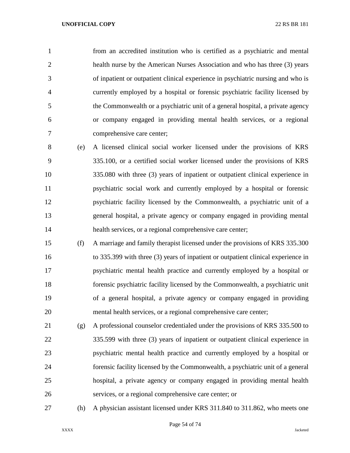from an accredited institution who is certified as a psychiatric and mental health nurse by the American Nurses Association and who has three (3) years of inpatient or outpatient clinical experience in psychiatric nursing and who is currently employed by a hospital or forensic psychiatric facility licensed by the Commonwealth or a psychiatric unit of a general hospital, a private agency or company engaged in providing mental health services, or a regional comprehensive care center;

 (e) A licensed clinical social worker licensed under the provisions of KRS 335.100, or a certified social worker licensed under the provisions of KRS 335.080 with three (3) years of inpatient or outpatient clinical experience in psychiatric social work and currently employed by a hospital or forensic psychiatric facility licensed by the Commonwealth, a psychiatric unit of a general hospital, a private agency or company engaged in providing mental health services, or a regional comprehensive care center;

 (f) A marriage and family therapist licensed under the provisions of KRS 335.300 to 335.399 with three (3) years of inpatient or outpatient clinical experience in psychiatric mental health practice and currently employed by a hospital or forensic psychiatric facility licensed by the Commonwealth, a psychiatric unit of a general hospital, a private agency or company engaged in providing mental health services, or a regional comprehensive care center;

 (g) A professional counselor credentialed under the provisions of KRS 335.500 to 335.599 with three (3) years of inpatient or outpatient clinical experience in psychiatric mental health practice and currently employed by a hospital or forensic facility licensed by the Commonwealth, a psychiatric unit of a general hospital, a private agency or company engaged in providing mental health services, or a regional comprehensive care center; or

(h) A physician assistant licensed under KRS 311.840 to 311.862, who meets one

Page 54 of 74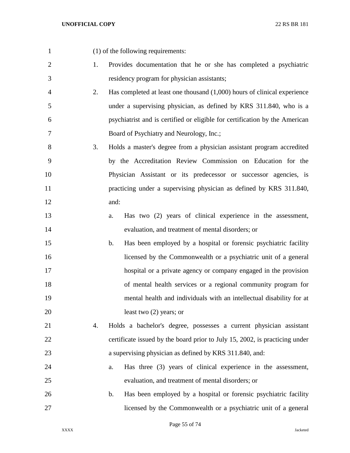(1) of the following requirements:

- 1. Provides documentation that he or she has completed a psychiatric residency program for physician assistants;
- 2. Has completed at least one thousand (1,000) hours of clinical experience under a supervising physician, as defined by KRS 311.840, who is a psychiatrist and is certified or eligible for certification by the American Board of Psychiatry and Neurology, Inc.;
- 3. Holds a master's degree from a physician assistant program accredited by the Accreditation Review Commission on Education for the Physician Assistant or its predecessor or successor agencies, is practicing under a supervising physician as defined by KRS 311.840, and:
- a. Has two (2) years of clinical experience in the assessment, evaluation, and treatment of mental disorders; or
- b. Has been employed by a hospital or forensic psychiatric facility licensed by the Commonwealth or a psychiatric unit of a general hospital or a private agency or company engaged in the provision of mental health services or a regional community program for mental health and individuals with an intellectual disability for at 20 least two (2) years; or
- 4. Holds a bachelor's degree, possesses a current physician assistant certificate issued by the board prior to July 15, 2002, is practicing under a supervising physician as defined by KRS 311.840, and:
- a. Has three (3) years of clinical experience in the assessment, evaluation, and treatment of mental disorders; or
- b. Has been employed by a hospital or forensic psychiatric facility licensed by the Commonwealth or a psychiatric unit of a general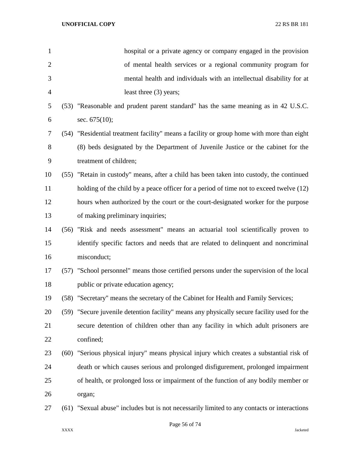| $\mathbf{1}$   | hospital or a private agency or company engaged in the provision                            |
|----------------|---------------------------------------------------------------------------------------------|
| $\overline{2}$ | of mental health services or a regional community program for                               |
| 3              | mental health and individuals with an intellectual disability for at                        |
| $\overline{4}$ | least three (3) years;                                                                      |
| 5              | (53) "Reasonable and prudent parent standard" has the same meaning as in 42 U.S.C.          |
| 6              | sec. $675(10)$ ;                                                                            |
| 7              | (54) "Residential treatment facility" means a facility or group home with more than eight   |
| 8              | (8) beds designated by the Department of Juvenile Justice or the cabinet for the            |
| 9              | treatment of children;                                                                      |
| 10             | (55) "Retain in custody" means, after a child has been taken into custody, the continued    |
| 11             | holding of the child by a peace officer for a period of time not to exceed twelve (12)      |
| 12             | hours when authorized by the court or the court-designated worker for the purpose           |
| 13             | of making preliminary inquiries;                                                            |
| 14             | (56) "Risk and needs assessment" means an actuarial tool scientifically proven to           |
| 15             | identify specific factors and needs that are related to delinquent and noncriminal          |
| 16             | misconduct;                                                                                 |
| 17             | (57) "School personnel" means those certified persons under the supervision of the local    |
| 18             | public or private education agency;                                                         |
| 19             | (58) "Secretary" means the secretary of the Cabinet for Health and Family Services;         |
| 20             | (59) "Secure juvenile detention facility" means any physically secure facility used for the |
| 21             | secure detention of children other than any facility in which adult prisoners are           |
| 22             | confined;                                                                                   |
| 23             | (60) "Serious physical injury" means physical injury which creates a substantial risk of    |
| 24             | death or which causes serious and prolonged disfigurement, prolonged impairment             |
| 25             | of health, or prolonged loss or impairment of the function of any bodily member or          |
| 26             | organ;                                                                                      |
| 27             | (61) "Sexual abuse" includes but is not necessarily limited to any contacts or interactions |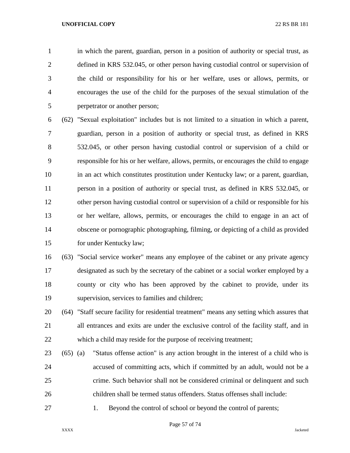in which the parent, guardian, person in a position of authority or special trust, as defined in KRS 532.045, or other person having custodial control or supervision of the child or responsibility for his or her welfare, uses or allows, permits, or encourages the use of the child for the purposes of the sexual stimulation of the perpetrator or another person;

 (62) "Sexual exploitation" includes but is not limited to a situation in which a parent, guardian, person in a position of authority or special trust, as defined in KRS 532.045, or other person having custodial control or supervision of a child or responsible for his or her welfare, allows, permits, or encourages the child to engage in an act which constitutes prostitution under Kentucky law; or a parent, guardian, person in a position of authority or special trust, as defined in KRS 532.045, or other person having custodial control or supervision of a child or responsible for his or her welfare, allows, permits, or encourages the child to engage in an act of obscene or pornographic photographing, filming, or depicting of a child as provided for under Kentucky law;

 (63) "Social service worker" means any employee of the cabinet or any private agency designated as such by the secretary of the cabinet or a social worker employed by a county or city who has been approved by the cabinet to provide, under its supervision, services to families and children;

 (64) "Staff secure facility for residential treatment" means any setting which assures that all entrances and exits are under the exclusive control of the facility staff, and in which a child may reside for the purpose of receiving treatment;

- (65) (a) "Status offense action" is any action brought in the interest of a child who is accused of committing acts, which if committed by an adult, would not be a crime. Such behavior shall not be considered criminal or delinquent and such children shall be termed status offenders. Status offenses shall include:
- 27 1. Beyond the control of school or beyond the control of parents;

Page 57 of 74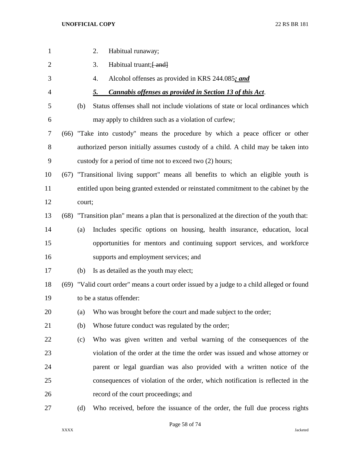| 1              |        | Habitual runaway;<br>2.                                                                      |
|----------------|--------|----------------------------------------------------------------------------------------------|
| $\overline{2}$ |        | Habitual truant; [ and]<br>3.                                                                |
| 3              |        | Alcohol offenses as provided in KRS 244.085; and<br>4.                                       |
| $\overline{4}$ |        | Cannabis offenses as provided in Section 13 of this Act.<br>5.                               |
| 5              | (b)    | Status offenses shall not include violations of state or local ordinances which              |
| 6              |        | may apply to children such as a violation of curfew;                                         |
| 7              |        | (66) "Take into custody" means the procedure by which a peace officer or other               |
| 8              |        | authorized person initially assumes custody of a child. A child may be taken into            |
| 9              |        | custody for a period of time not to exceed two (2) hours;                                    |
| 10             |        | (67) "Transitional living support" means all benefits to which an eligible youth is          |
| 11             |        | entitled upon being granted extended or reinstated commitment to the cabinet by the          |
| 12             | court; |                                                                                              |
| 13             |        | (68) "Transition plan" means a plan that is personalized at the direction of the youth that: |
| 14             | (a)    | Includes specific options on housing, health insurance, education, local                     |
| 15             |        | opportunities for mentors and continuing support services, and workforce                     |
| 16             |        | supports and employment services; and                                                        |
| 17             | (b)    | Is as detailed as the youth may elect;                                                       |
| 18             |        | (69) "Valid court order" means a court order issued by a judge to a child alleged or found   |
| 19             |        | to be a status offender:                                                                     |
| 20             | (a)    | Who was brought before the court and made subject to the order;                              |
| 21             | (b)    | Whose future conduct was regulated by the order;                                             |
| 22             | (c)    | Who was given written and verbal warning of the consequences of the                          |
| 23             |        | violation of the order at the time the order was issued and whose attorney or                |
| 24             |        | parent or legal guardian was also provided with a written notice of the                      |
| 25             |        | consequences of violation of the order, which notification is reflected in the               |
| 26             |        | record of the court proceedings; and                                                         |
| 27             | (d)    | Who received, before the issuance of the order, the full due process rights                  |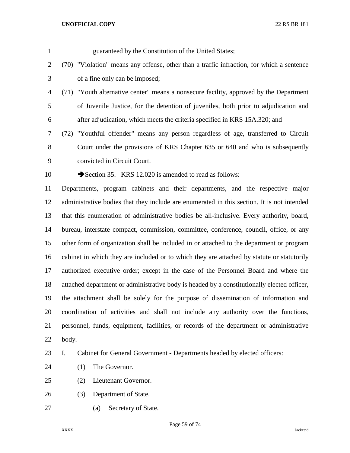| $\mathbf{1}$   | guaranteed by the Constitution of the United States;                                        |
|----------------|---------------------------------------------------------------------------------------------|
| $\overline{2}$ | (70) "Violation" means any offense, other than a traffic infraction, for which a sentence   |
| 3              | of a fine only can be imposed;                                                              |
| $\overline{4}$ | (71) "Youth alternative center" means a nonsecure facility, approved by the Department      |
| 5              | of Juvenile Justice, for the detention of juveniles, both prior to adjudication and         |
| 6              | after adjudication, which meets the criteria specified in KRS 15A.320; and                  |
| 7              | (72) "Youthful offender" means any person regardless of age, transferred to Circuit         |
| 8              | Court under the provisions of KRS Chapter 635 or 640 and who is subsequently                |
| 9              | convicted in Circuit Court.                                                                 |
| 10             | Section 35. KRS 12.020 is amended to read as follows:                                       |
| 11             | Departments, program cabinets and their departments, and the respective major               |
| 12             | administrative bodies that they include are enumerated in this section. It is not intended  |
| 13             | that this enumeration of administrative bodies be all-inclusive. Every authority, board,    |
| 14             | bureau, interstate compact, commission, committee, conference, council, office, or any      |
| 15             | other form of organization shall be included in or attached to the department or program    |
| 16             | cabinet in which they are included or to which they are attached by statute or statutorily  |
| 17             | authorized executive order; except in the case of the Personnel Board and where the         |
| 18             | attached department or administrative body is headed by a constitutionally elected officer, |
| 19             | the attachment shall be solely for the purpose of dissemination of information and          |
| 20             | coordination of activities and shall not include any authority over the functions,          |
| 21             | personnel, funds, equipment, facilities, or records of the department or administrative     |
| 22             | body.                                                                                       |
| 23             | I.<br>Cabinet for General Government - Departments headed by elected officers:              |
| 24             | The Governor.<br>(1)                                                                        |
| 25             | Lieutenant Governor.<br>(2)                                                                 |
| 26             | Department of State.<br>(3)                                                                 |
| 27             | Secretary of State.<br>(a)                                                                  |
|                |                                                                                             |

Page 59 of 74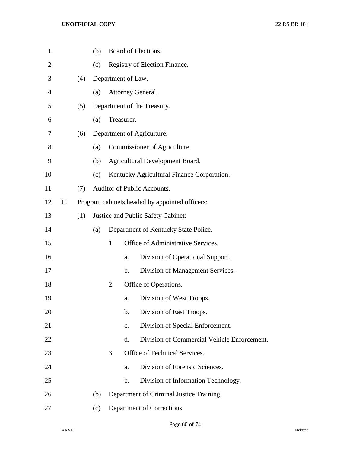| $\mathbf{1}$   |    |     | (b) |                                                |                    | Board of Elections.                         |  |  |
|----------------|----|-----|-----|------------------------------------------------|--------------------|---------------------------------------------|--|--|
| $\overline{2}$ |    |     | (c) |                                                |                    | Registry of Election Finance.               |  |  |
| 3              |    | (4) |     |                                                | Department of Law. |                                             |  |  |
| $\overline{4}$ |    |     | (a) |                                                |                    | Attorney General.                           |  |  |
| 5              |    | (5) |     |                                                |                    | Department of the Treasury.                 |  |  |
| 6              |    |     | (a) |                                                | Treasurer.         |                                             |  |  |
| 7              |    | (6) |     |                                                |                    | Department of Agriculture.                  |  |  |
| 8              |    |     | (a) |                                                |                    | Commissioner of Agriculture.                |  |  |
| 9              |    |     | (b) |                                                |                    | Agricultural Development Board.             |  |  |
| 10             |    |     | (c) |                                                |                    | Kentucky Agricultural Finance Corporation.  |  |  |
| 11             |    | (7) |     |                                                |                    | Auditor of Public Accounts.                 |  |  |
| 12             | Π. |     |     | Program cabinets headed by appointed officers: |                    |                                             |  |  |
| 13             |    | (1) |     | Justice and Public Safety Cabinet:             |                    |                                             |  |  |
| 14             |    |     | (a) |                                                |                    | Department of Kentucky State Police.        |  |  |
| 15             |    |     |     | 1.                                             |                    | Office of Administrative Services.          |  |  |
| 16             |    |     |     |                                                | a.                 | Division of Operational Support.            |  |  |
| 17             |    |     |     |                                                | $\mathbf b$ .      | Division of Management Services.            |  |  |
| 18             |    |     |     | 2.                                             |                    | Office of Operations.                       |  |  |
| 19             |    |     |     |                                                | a.                 | Division of West Troops.                    |  |  |
| 20             |    |     |     |                                                | $\mathbf b$ .      | Division of East Troops.                    |  |  |
| 21             |    |     |     |                                                | $C_{\bullet}$      | Division of Special Enforcement.            |  |  |
| 22             |    |     |     |                                                | d.                 | Division of Commercial Vehicle Enforcement. |  |  |
| 23             |    |     |     | 3.                                             |                    | Office of Technical Services.               |  |  |
| 24             |    |     |     |                                                | a.                 | Division of Forensic Sciences.              |  |  |
| 25             |    |     |     |                                                | $\mathbf b$ .      | Division of Information Technology.         |  |  |
| 26             |    |     | (b) |                                                |                    | Department of Criminal Justice Training.    |  |  |
| 27             |    |     | (c) |                                                |                    | Department of Corrections.                  |  |  |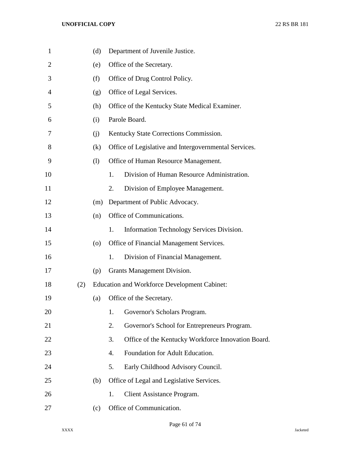| $\mathbf{1}$ |     | (d)                |    | Department of Juvenile Justice.                       |
|--------------|-----|--------------------|----|-------------------------------------------------------|
| 2            |     | (e)                |    | Office of the Secretary.                              |
| 3            |     | (f)                |    | Office of Drug Control Policy.                        |
| 4            |     | (g)                |    | Office of Legal Services.                             |
| 5            |     | (h)                |    | Office of the Kentucky State Medical Examiner.        |
| 6            |     | (i)                |    | Parole Board.                                         |
| 7            |     | (i)                |    | Kentucky State Corrections Commission.                |
| 8            |     | (k)                |    | Office of Legislative and Intergovernmental Services. |
| 9            |     | (1)                |    | Office of Human Resource Management.                  |
| 10           |     |                    | 1. | Division of Human Resource Administration.            |
| 11           |     |                    | 2. | Division of Employee Management.                      |
| 12           |     | (m)                |    | Department of Public Advocacy.                        |
| 13           |     | (n)                |    | Office of Communications.                             |
| 14           |     |                    | 1. | Information Technology Services Division.             |
| 15           |     | $\left( 0 \right)$ |    | Office of Financial Management Services.              |
| 16           |     |                    | 1. | Division of Financial Management.                     |
| 17           |     | (p)                |    | Grants Management Division.                           |
| 18           | (2) |                    |    | <b>Education and Workforce Development Cabinet:</b>   |
| 19           |     | (a)                |    | Office of the Secretary.                              |
| 20           |     |                    | 1. | Governor's Scholars Program.                          |
| 21           |     |                    | 2. | Governor's School for Entrepreneurs Program.          |
| 22           |     |                    | 3. | Office of the Kentucky Workforce Innovation Board.    |
| 23           |     |                    | 4. | Foundation for Adult Education.                       |
| 24           |     |                    | 5. | Early Childhood Advisory Council.                     |
| 25           |     | (b)                |    | Office of Legal and Legislative Services.             |
| 26           |     |                    | 1. | Client Assistance Program.                            |
| 27           |     | (c)                |    | Office of Communication.                              |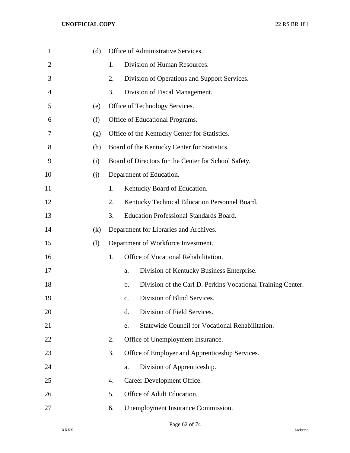| $\mathbf{1}$ | (d) |    | Office of Administrative Services.                                           |
|--------------|-----|----|------------------------------------------------------------------------------|
| 2            |     | 1. | Division of Human Resources.                                                 |
| 3            |     | 2. | Division of Operations and Support Services.                                 |
| 4            |     | 3. | Division of Fiscal Management.                                               |
| 5            | (e) |    | Office of Technology Services.                                               |
| 6            | (f) |    | Office of Educational Programs.                                              |
| 7            | (g) |    | Office of the Kentucky Center for Statistics.                                |
| 8            | (h) |    | Board of the Kentucky Center for Statistics.                                 |
| 9            | (i) |    | Board of Directors for the Center for School Safety.                         |
| 10           | (j) |    | Department of Education.                                                     |
| 11           |     | 1. | Kentucky Board of Education.                                                 |
| 12           |     | 2. | Kentucky Technical Education Personnel Board.                                |
| 13           |     | 3. | <b>Education Professional Standards Board.</b>                               |
| 14           | (k) |    | Department for Libraries and Archives.                                       |
| 15           | (1) |    | Department of Workforce Investment.                                          |
| 16           |     | 1. | Office of Vocational Rehabilitation.                                         |
| 17           |     |    | Division of Kentucky Business Enterprise.<br>a.                              |
| 18           |     |    | Division of the Carl D. Perkins Vocational Training Center.<br>$\mathbf b$ . |
| 19           |     |    | Division of Blind Services.<br>$C_{\bullet}$                                 |
| 20           |     |    | d.<br>Division of Field Services.                                            |
| 21           |     |    | Statewide Council for Vocational Rehabilitation.<br>e.                       |
| 22           |     | 2. | Office of Unemployment Insurance.                                            |
| 23           |     | 3. | Office of Employer and Apprenticeship Services.                              |
| 24           |     |    | Division of Apprenticeship.<br>a.                                            |
| 25           |     | 4. | Career Development Office.                                                   |
| 26           |     | 5. | Office of Adult Education.                                                   |
| 27           |     | 6. | Unemployment Insurance Commission.                                           |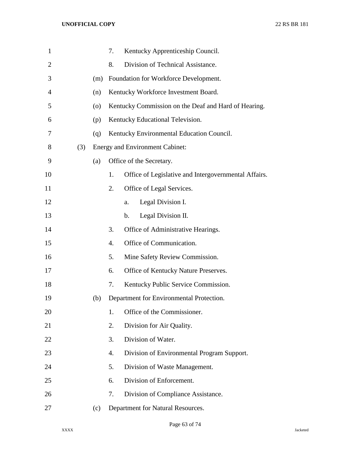| $\mathbf{1}$   |     |     | 7. | Kentucky Apprenticeship Council.                     |
|----------------|-----|-----|----|------------------------------------------------------|
| $\overline{2}$ |     |     | 8. | Division of Technical Assistance.                    |
| 3              |     | (m) |    | Foundation for Workforce Development.                |
| 4              |     | (n) |    | Kentucky Workforce Investment Board.                 |
| 5              |     | (0) |    | Kentucky Commission on the Deaf and Hard of Hearing. |
| 6              |     | (p) |    | Kentucky Educational Television.                     |
| 7              |     | (q) |    | Kentucky Environmental Education Council.            |
| 8              | (3) |     |    | <b>Energy and Environment Cabinet:</b>               |
| 9              |     | (a) |    | Office of the Secretary.                             |
| 10             |     |     | 1. | Office of Legislative and Intergovernmental Affairs. |
| 11             |     |     | 2. | Office of Legal Services.                            |
| 12             |     |     |    | Legal Division I.<br>a.                              |
| 13             |     |     |    | Legal Division II.<br>$\mathbf b$ .                  |
| 14             |     |     | 3. | Office of Administrative Hearings.                   |
| 15             |     |     | 4. | Office of Communication.                             |
| 16             |     |     | 5. | Mine Safety Review Commission.                       |
| 17             |     |     | 6. | Office of Kentucky Nature Preserves.                 |
| 18             |     |     | 7. | Kentucky Public Service Commission.                  |
| 19             |     | (b) |    | Department for Environmental Protection.             |
| 20             |     |     | 1. | Office of the Commissioner.                          |
| 21             |     |     | 2. | Division for Air Quality.                            |
| 22             |     |     | 3. | Division of Water.                                   |
| 23             |     |     | 4. | Division of Environmental Program Support.           |
| 24             |     |     | 5. | Division of Waste Management.                        |
| 25             |     |     | 6. | Division of Enforcement.                             |
| 26             |     |     | 7. | Division of Compliance Assistance.                   |
| 27             |     | (c) |    | Department for Natural Resources.                    |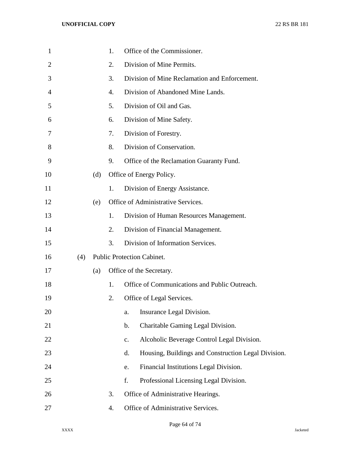| $\mathbf{1}$ |     |     | 1. | Office of the Commissioner.                                  |
|--------------|-----|-----|----|--------------------------------------------------------------|
| 2            |     |     | 2. | Division of Mine Permits.                                    |
| 3            |     |     | 3. | Division of Mine Reclamation and Enforcement.                |
| 4            |     |     | 4. | Division of Abandoned Mine Lands.                            |
| 5            |     |     | 5. | Division of Oil and Gas.                                     |
| 6            |     |     | 6. | Division of Mine Safety.                                     |
| 7            |     |     | 7. | Division of Forestry.                                        |
| 8            |     |     | 8. | Division of Conservation.                                    |
| 9            |     |     | 9. | Office of the Reclamation Guaranty Fund.                     |
| 10           |     | (d) |    | Office of Energy Policy.                                     |
| 11           |     |     | 1. | Division of Energy Assistance.                               |
| 12           |     | (e) |    | Office of Administrative Services.                           |
| 13           |     |     | 1. | Division of Human Resources Management.                      |
| 14           |     |     | 2. | Division of Financial Management.                            |
| 15           |     |     | 3. | Division of Information Services.                            |
| 16           | (4) |     |    | <b>Public Protection Cabinet.</b>                            |
| 17           |     | (a) |    | Office of the Secretary.                                     |
| 18           |     |     | 1. | Office of Communications and Public Outreach.                |
| 19           |     |     | 2. | Office of Legal Services.                                    |
| 20           |     |     |    | Insurance Legal Division.<br>a.                              |
| 21           |     |     |    | Charitable Gaming Legal Division.<br>$\mathbf b$ .           |
| 22           |     |     |    | Alcoholic Beverage Control Legal Division.<br>$\mathbf{c}$ . |
| 23           |     |     |    | Housing, Buildings and Construction Legal Division.<br>d.    |
| 24           |     |     |    | Financial Institutions Legal Division.<br>e.                 |
| 25           |     |     |    | f.<br>Professional Licensing Legal Division.                 |
| 26           |     |     | 3. | Office of Administrative Hearings.                           |
| 27           |     |     | 4. | Office of Administrative Services.                           |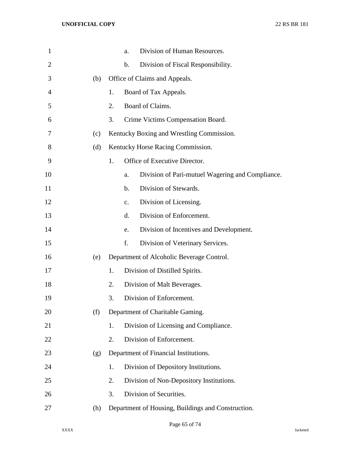| $\mathbf{1}$   |     |    | Division of Human Resources.<br>a.                     |
|----------------|-----|----|--------------------------------------------------------|
| $\overline{2}$ |     |    | Division of Fiscal Responsibility.<br>$\mathbf b$ .    |
| 3              | (b) |    | Office of Claims and Appeals.                          |
| 4              |     | 1. | Board of Tax Appeals.                                  |
| 5              |     | 2. | Board of Claims.                                       |
| 6              |     | 3. | Crime Victims Compensation Board.                      |
| 7              | (c) |    | Kentucky Boxing and Wrestling Commission.              |
| 8              | (d) |    | Kentucky Horse Racing Commission.                      |
| 9              |     | 1. | Office of Executive Director.                          |
| 10             |     |    | Division of Pari-mutuel Wagering and Compliance.<br>a. |
| 11             |     |    | Division of Stewards.<br>b.                            |
| 12             |     |    | Division of Licensing.<br>$C_{\bullet}$                |
| 13             |     |    | Division of Enforcement.<br>d.                         |
| 14             |     |    | Division of Incentives and Development.<br>e.          |
| 15             |     |    | f.<br>Division of Veterinary Services.                 |
| 16             | (e) |    | Department of Alcoholic Beverage Control.              |
| 17             |     | 1. | Division of Distilled Spirits.                         |
| 18             |     | 2. | Division of Malt Beverages.                            |
| 19             |     | 3. | Division of Enforcement.                               |
| 20             | (f) |    | Department of Charitable Gaming.                       |
| 21             |     | 1. | Division of Licensing and Compliance.                  |
| 22             |     | 2. | Division of Enforcement.                               |
| 23             | (g) |    | Department of Financial Institutions.                  |
| 24             |     | 1. | Division of Depository Institutions.                   |
| 25             |     | 2. | Division of Non-Depository Institutions.               |
| 26             |     | 3. | Division of Securities.                                |
| 27             | (h) |    | Department of Housing, Buildings and Construction.     |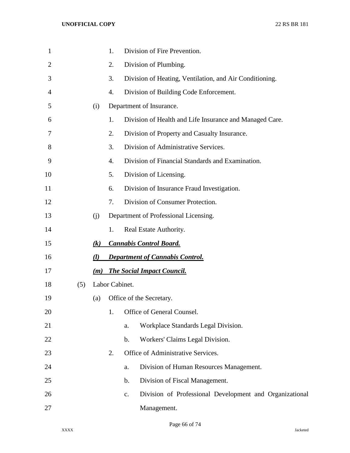| $\mathbf{1}$ |     |                   | 1.             |               | Division of Fire Prevention.                            |
|--------------|-----|-------------------|----------------|---------------|---------------------------------------------------------|
| 2            |     |                   | 2.             |               | Division of Plumbing.                                   |
| 3            |     |                   | 3.             |               | Division of Heating, Ventilation, and Air Conditioning. |
| 4            |     |                   | 4.             |               | Division of Building Code Enforcement.                  |
| 5            |     | (i)               |                |               | Department of Insurance.                                |
| 6            |     |                   | 1.             |               | Division of Health and Life Insurance and Managed Care. |
| 7            |     |                   | 2.             |               | Division of Property and Casualty Insurance.            |
| 8            |     |                   | 3.             |               | Division of Administrative Services.                    |
| 9            |     |                   | 4.             |               | Division of Financial Standards and Examination.        |
| 10           |     |                   | 5.             |               | Division of Licensing.                                  |
| 11           |     |                   | 6.             |               | Division of Insurance Fraud Investigation.              |
| 12           |     |                   | 7.             |               | Division of Consumer Protection.                        |
| 13           |     | (j)               |                |               | Department of Professional Licensing.                   |
| 14           |     |                   | 1.             |               | Real Estate Authority.                                  |
| 15           |     | $\left( k\right)$ |                |               | <b>Cannabis Control Board.</b>                          |
| 16           |     | $\left( l\right)$ |                |               | <b>Department of Cannabis Control.</b>                  |
| 17           |     | (m)               |                |               | <b>The Social Impact Council.</b>                       |
| 18           | (5) |                   | Labor Cabinet. |               |                                                         |
| 19           |     | (a)               |                |               | Office of the Secretary.                                |
| 20           |     |                   | 1.             |               | Office of General Counsel.                              |
| 21           |     |                   |                | a.            | Workplace Standards Legal Division.                     |
| 22           |     |                   |                | $\mathbf b$ . | Workers' Claims Legal Division.                         |
| 23           |     |                   | 2.             |               | Office of Administrative Services.                      |
| 24           |     |                   |                | a.            | Division of Human Resources Management.                 |
| 25           |     |                   |                | $\mathbf b$ . | Division of Fiscal Management.                          |
| 26           |     |                   |                | c.            | Division of Professional Development and Organizational |
| 27           |     |                   |                |               | Management.                                             |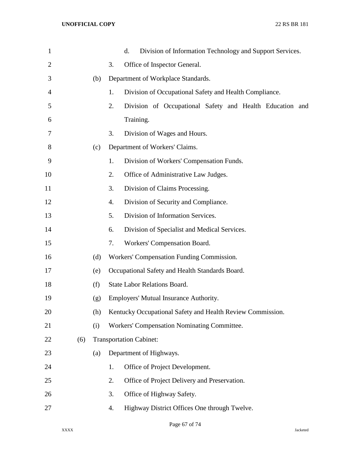| $\mathbf{1}$ |     |     |    | d.<br>Division of Information Technology and Support Services. |
|--------------|-----|-----|----|----------------------------------------------------------------|
| 2            |     |     | 3. | Office of Inspector General.                                   |
| 3            |     | (b) |    | Department of Workplace Standards.                             |
| 4            |     |     | 1. | Division of Occupational Safety and Health Compliance.         |
| 5            |     |     | 2. | Division of Occupational Safety and Health Education and       |
| 6            |     |     |    | Training.                                                      |
| 7            |     |     | 3. | Division of Wages and Hours.                                   |
| 8            |     | (c) |    | Department of Workers' Claims.                                 |
| 9            |     |     | 1. | Division of Workers' Compensation Funds.                       |
| 10           |     |     | 2. | Office of Administrative Law Judges.                           |
| 11           |     |     | 3. | Division of Claims Processing.                                 |
| 12           |     |     | 4. | Division of Security and Compliance.                           |
| 13           |     |     | 5. | Division of Information Services.                              |
| 14           |     |     | 6. | Division of Specialist and Medical Services.                   |
| 15           |     |     | 7. | Workers' Compensation Board.                                   |
| 16           |     | (d) |    | Workers' Compensation Funding Commission.                      |
| 17           |     | (e) |    | Occupational Safety and Health Standards Board.                |
| 18           |     | (f) |    | <b>State Labor Relations Board.</b>                            |
| 19           |     | (g) |    | Employers' Mutual Insurance Authority.                         |
| 20           |     | (h) |    | Kentucky Occupational Safety and Health Review Commission.     |
| 21           |     | (i) |    | Workers' Compensation Nominating Committee.                    |
| 22           | (6) |     |    | <b>Transportation Cabinet:</b>                                 |
| 23           |     | (a) |    | Department of Highways.                                        |
| 24           |     |     | 1. | Office of Project Development.                                 |
| 25           |     |     | 2. | Office of Project Delivery and Preservation.                   |
| 26           |     |     | 3. | Office of Highway Safety.                                      |
| 27           |     |     | 4. | Highway District Offices One through Twelve.                   |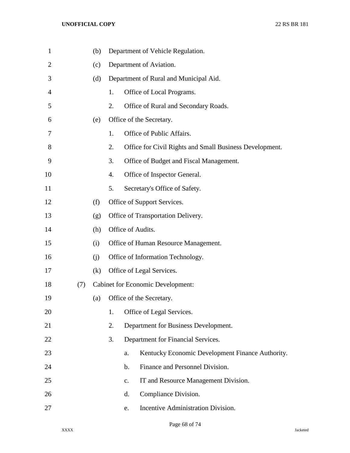| $\mathbf{1}$   |     | (b) |                  | Department of Vehicle Regulation.                       |
|----------------|-----|-----|------------------|---------------------------------------------------------|
| $\overline{2}$ |     | (c) |                  | Department of Aviation.                                 |
| 3              |     | (d) |                  | Department of Rural and Municipal Aid.                  |
| 4              |     |     | 1.               | Office of Local Programs.                               |
| 5              |     |     | 2.               | Office of Rural and Secondary Roads.                    |
| 6              |     | (e) |                  | Office of the Secretary.                                |
| 7              |     |     | 1.               | Office of Public Affairs.                               |
| 8              |     |     | 2.               | Office for Civil Rights and Small Business Development. |
| 9              |     |     | 3.               | Office of Budget and Fiscal Management.                 |
| 10             |     |     | $\overline{4}$ . | Office of Inspector General.                            |
| 11             |     |     | 5.               | Secretary's Office of Safety.                           |
| 12             |     | (f) |                  | Office of Support Services.                             |
| 13             |     | (g) |                  | Office of Transportation Delivery.                      |
| 14             |     | (h) |                  | Office of Audits.                                       |
| 15             |     | (i) |                  | Office of Human Resource Management.                    |
| 16             |     | (i) |                  | Office of Information Technology.                       |
| 17             |     | (k) |                  | Office of Legal Services.                               |
| 18             | (7) |     |                  | <b>Cabinet for Economic Development:</b>                |
| 19             |     | (a) |                  | Office of the Secretary.                                |
| 20             |     |     | 1.               | Office of Legal Services.                               |
| 21             |     |     | 2.               | Department for Business Development.                    |
| 22             |     |     | 3.               | Department for Financial Services.                      |
| 23             |     |     |                  | Kentucky Economic Development Finance Authority.<br>a.  |
| 24             |     |     |                  | Finance and Personnel Division.<br>$\mathbf b$ .        |
| 25             |     |     |                  | IT and Resource Management Division.<br>c.              |
| 26             |     |     |                  | Compliance Division.<br>d.                              |
| 27             |     |     |                  | Incentive Administration Division.<br>e.                |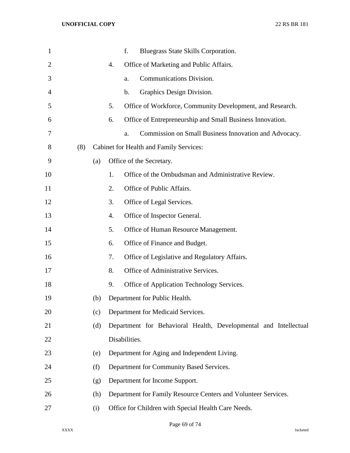| $\mathbf{1}$ |     |     |    | f.<br>Bluegrass State Skills Corporation.                        |
|--------------|-----|-----|----|------------------------------------------------------------------|
| 2            |     |     | 4. | Office of Marketing and Public Affairs.                          |
| 3            |     |     |    | Communications Division.<br>a.                                   |
| 4            |     |     |    | Graphics Design Division.<br>b.                                  |
| 5            |     |     | 5. | Office of Workforce, Community Development, and Research.        |
| 6            |     |     | 6. | Office of Entrepreneurship and Small Business Innovation.        |
| 7            |     |     |    | Commission on Small Business Innovation and Advocacy.<br>a.      |
| 8            | (8) |     |    | Cabinet for Health and Family Services:                          |
| 9            |     | (a) |    | Office of the Secretary.                                         |
| 10           |     |     | 1. | Office of the Ombudsman and Administrative Review.               |
| 11           |     |     | 2. | Office of Public Affairs.                                        |
| 12           |     |     | 3. | Office of Legal Services.                                        |
| 13           |     |     | 4. | Office of Inspector General.                                     |
| 14           |     |     | 5. | Office of Human Resource Management.                             |
| 15           |     |     | 6. | Office of Finance and Budget.                                    |
| 16           |     |     | 7. | Office of Legislative and Regulatory Affairs.                    |
| 17           |     |     | 8. | Office of Administrative Services.                               |
| 18           |     |     | 9. | Office of Application Technology Services.                       |
| 19           |     | (b) |    | Department for Public Health.                                    |
| 20           |     | (c) |    | Department for Medicaid Services.                                |
| 21           |     | (d) |    | Department for Behavioral Health, Developmental and Intellectual |
| 22           |     |     |    | Disabilities.                                                    |
| 23           |     | (e) |    | Department for Aging and Independent Living.                     |
| 24           |     | (f) |    | Department for Community Based Services.                         |
| 25           |     | (g) |    | Department for Income Support.                                   |
| 26           |     | (h) |    | Department for Family Resource Centers and Volunteer Services.   |
| 27           |     | (i) |    | Office for Children with Special Health Care Needs.              |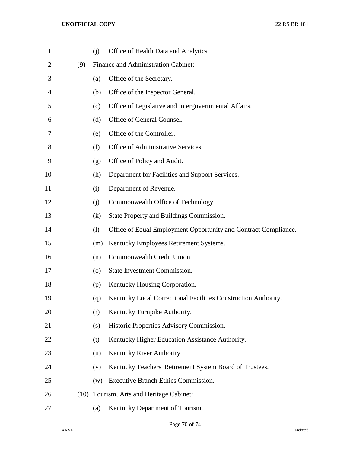| $\mathbf{1}$   |      | (i)                | Office of Health Data and Analytics.                            |
|----------------|------|--------------------|-----------------------------------------------------------------|
| $\overline{2}$ | (9)  |                    | Finance and Administration Cabinet:                             |
| 3              |      | (a)                | Office of the Secretary.                                        |
| 4              |      | (b)                | Office of the Inspector General.                                |
| 5              |      | (c)                | Office of Legislative and Intergovernmental Affairs.            |
| 6              |      | (d)                | Office of General Counsel.                                      |
| 7              |      | (e)                | Office of the Controller.                                       |
| 8              |      | (f)                | Office of Administrative Services.                              |
| 9              |      | (g)                | Office of Policy and Audit.                                     |
| 10             |      | (h)                | Department for Facilities and Support Services.                 |
| 11             |      | (i)                | Department of Revenue.                                          |
| 12             |      | (i)                | Commonwealth Office of Technology.                              |
| 13             |      | (k)                | State Property and Buildings Commission.                        |
| 14             |      | (1)                | Office of Equal Employment Opportunity and Contract Compliance. |
| 15             |      | (m)                | Kentucky Employees Retirement Systems.                          |
| 16             |      | (n)                | Commonwealth Credit Union.                                      |
| 17             |      | $\left( 0 \right)$ | State Investment Commission.                                    |
| 18             |      | (p)                | Kentucky Housing Corporation.                                   |
| 19             |      | (q)                | Kentucky Local Correctional Facilities Construction Authority.  |
| 20             |      | (r)                | Kentucky Turnpike Authority.                                    |
| 21             |      | (s)                | Historic Properties Advisory Commission.                        |
| 22             |      | (t)                | Kentucky Higher Education Assistance Authority.                 |
| 23             |      | (u)                | Kentucky River Authority.                                       |
| 24             |      | (v)                | Kentucky Teachers' Retirement System Board of Trustees.         |
| 25             |      | (w)                | Executive Branch Ethics Commission.                             |
| 26             | (10) |                    | Tourism, Arts and Heritage Cabinet:                             |
| 27             |      | (a)                | Kentucky Department of Tourism.                                 |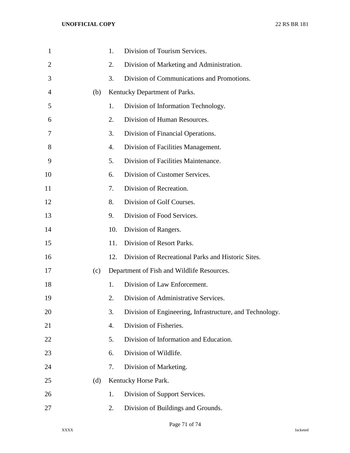| $\mathbf{1}$   |     | 1.  | Division of Tourism Services.                            |
|----------------|-----|-----|----------------------------------------------------------|
| $\overline{2}$ |     | 2.  | Division of Marketing and Administration.                |
| 3              |     | 3.  | Division of Communications and Promotions.               |
| 4              | (b) |     | Kentucky Department of Parks.                            |
| 5              |     | 1.  | Division of Information Technology.                      |
| 6              |     | 2.  | Division of Human Resources.                             |
| 7              |     | 3.  | Division of Financial Operations.                        |
| 8              |     | 4.  | Division of Facilities Management.                       |
| 9              |     | 5.  | Division of Facilities Maintenance.                      |
| 10             |     | 6.  | Division of Customer Services.                           |
| 11             |     | 7.  | Division of Recreation.                                  |
| 12             |     | 8.  | Division of Golf Courses.                                |
| 13             |     | 9.  | Division of Food Services.                               |
| 14             |     | 10. | Division of Rangers.                                     |
| 15             |     | 11. | Division of Resort Parks.                                |
| 16             |     | 12. | Division of Recreational Parks and Historic Sites.       |
| 17             | (c) |     | Department of Fish and Wildlife Resources.               |
| 18             |     | 1.  | Division of Law Enforcement.                             |
| 19             |     | 2.  | Division of Administrative Services.                     |
| 20             |     | 3.  | Division of Engineering, Infrastructure, and Technology. |
| 21             |     | 4.  | Division of Fisheries.                                   |
| 22             |     | 5.  | Division of Information and Education.                   |
| 23             |     | 6.  | Division of Wildlife.                                    |
| 24             |     | 7.  | Division of Marketing.                                   |
| 25             | (d) |     | Kentucky Horse Park.                                     |
| 26             |     | 1.  | Division of Support Services.                            |
| 27             |     | 2.  | Division of Buildings and Grounds.                       |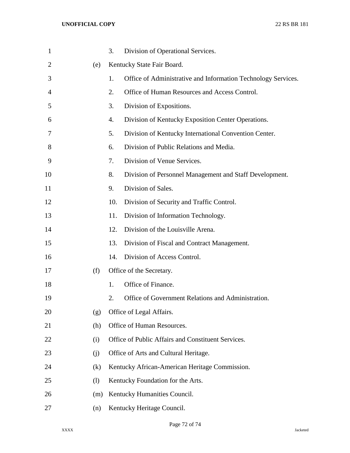| $\mathbf{1}$   |     | 3.  | Division of Operational Services.                             |
|----------------|-----|-----|---------------------------------------------------------------|
| $\overline{2}$ | (e) |     | Kentucky State Fair Board.                                    |
| 3              |     | 1.  | Office of Administrative and Information Technology Services. |
| 4              |     | 2.  | Office of Human Resources and Access Control.                 |
| 5              |     | 3.  | Division of Expositions.                                      |
| 6              |     | 4.  | Division of Kentucky Exposition Center Operations.            |
| 7              |     | 5.  | Division of Kentucky International Convention Center.         |
| 8              |     | 6.  | Division of Public Relations and Media.                       |
| 9              |     | 7.  | Division of Venue Services.                                   |
| 10             |     | 8.  | Division of Personnel Management and Staff Development.       |
| 11             |     | 9.  | Division of Sales.                                            |
| 12             |     | 10. | Division of Security and Traffic Control.                     |
| 13             |     | 11. | Division of Information Technology.                           |
| 14             |     | 12. | Division of the Louisville Arena.                             |
| 15             |     | 13. | Division of Fiscal and Contract Management.                   |
| 16             |     | 14. | Division of Access Control.                                   |
| 17             | (f) |     | Office of the Secretary.                                      |
| 18             |     | 1.  | Office of Finance.                                            |
| 19             |     | 2.  | Office of Government Relations and Administration.            |
| 20             | (g) |     | Office of Legal Affairs.                                      |
| 21             | (h) |     | Office of Human Resources.                                    |
| 22             | (i) |     | Office of Public Affairs and Constituent Services.            |
| 23             | (j) |     | Office of Arts and Cultural Heritage.                         |
| 24             | (k) |     | Kentucky African-American Heritage Commission.                |
| 25             | (1) |     | Kentucky Foundation for the Arts.                             |
| 26             | (m) |     | Kentucky Humanities Council.                                  |
| 27             | (n) |     | Kentucky Heritage Council.                                    |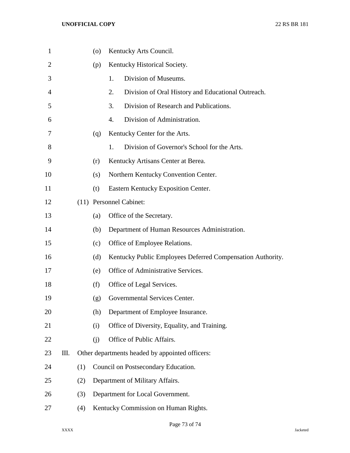| $\mathbf{1}$   |    |     | (0) | Kentucky Arts Council.                                     |
|----------------|----|-----|-----|------------------------------------------------------------|
| $\overline{2}$ |    |     | (p) | Kentucky Historical Society.                               |
| 3              |    |     |     | Division of Museums.<br>1.                                 |
| 4              |    |     |     | 2.<br>Division of Oral History and Educational Outreach.   |
| 5              |    |     |     | 3.<br>Division of Research and Publications.               |
| 6              |    |     |     | Division of Administration.<br>4.                          |
| 7              |    |     | (q) | Kentucky Center for the Arts.                              |
| 8              |    |     |     | Division of Governor's School for the Arts.<br>1.          |
| 9              |    |     | (r) | Kentucky Artisans Center at Berea.                         |
| 10             |    |     | (s) | Northern Kentucky Convention Center.                       |
| 11             |    |     | (t) | Eastern Kentucky Exposition Center.                        |
| 12             |    |     |     | (11) Personnel Cabinet:                                    |
| 13             |    |     | (a) | Office of the Secretary.                                   |
| 14             |    |     | (b) | Department of Human Resources Administration.              |
| 15             |    |     | (c) | Office of Employee Relations.                              |
| 16             |    |     | (d) | Kentucky Public Employees Deferred Compensation Authority. |
| 17             |    |     | (e) | Office of Administrative Services.                         |
| 18             |    |     | (f) | Office of Legal Services.                                  |
| 19             |    |     | (g) | Governmental Services Center.                              |
| 20             |    |     | (h) | Department of Employee Insurance.                          |
| 21             |    |     | (i) | Office of Diversity, Equality, and Training.               |
| 22             |    |     | (j) | Office of Public Affairs.                                  |
| 23             | Ш. |     |     | Other departments headed by appointed officers:            |
| 24             |    | (1) |     | Council on Postsecondary Education.                        |
| 25             |    | (2) |     | Department of Military Affairs.                            |
| 26             |    | (3) |     | Department for Local Government.                           |
| 27             |    | (4) |     | Kentucky Commission on Human Rights.                       |